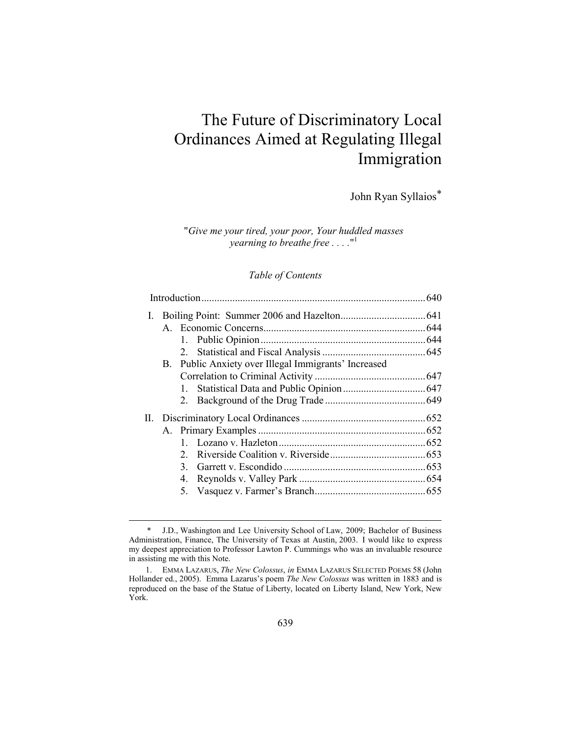# The Future of Discriminatory Local Ordinances Aimed at Regulating Illegal Immigration

John Ryan Syllaios\*

"*Give me your tired, your poor, Your huddled masses yearning to breathe free . . . .*" 1

### *Table of Contents*

| L |                                                      |  |
|---|------------------------------------------------------|--|
|   |                                                      |  |
|   |                                                      |  |
|   |                                                      |  |
|   | B. Public Anxiety over Illegal Immigrants' Increased |  |
|   |                                                      |  |
|   |                                                      |  |
|   |                                                      |  |
|   |                                                      |  |
|   |                                                      |  |
|   |                                                      |  |
|   | $2^{\circ}$                                          |  |
|   | 3                                                    |  |
|   | 4.                                                   |  |
|   |                                                      |  |
|   |                                                      |  |

 <sup>\*</sup> J.D., Washington and Lee University School of Law, 2009; Bachelor of Business Administration, Finance, The University of Texas at Austin, 2003. I would like to express my deepest appreciation to Professor Lawton P. Cummings who was an invaluable resource in assisting me with this Note.

 <sup>1.</sup> EMMA LAZARUS, *The New Colossus*, *in* EMMA LAZARUS SELECTED POEMS 58 (John Hollander ed., 2005). Emma Lazarus's poem *The New Colossus* was written in 1883 and is reproduced on the base of the Statue of Liberty, located on Liberty Island, New York, New York.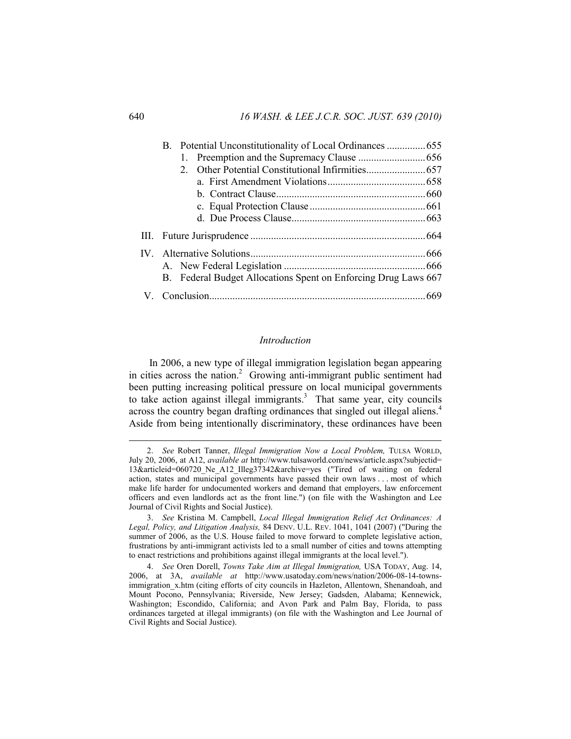| 2                                                              |  |
|----------------------------------------------------------------|--|
|                                                                |  |
|                                                                |  |
|                                                                |  |
|                                                                |  |
|                                                                |  |
|                                                                |  |
|                                                                |  |
| B. Federal Budget Allocations Spent on Enforcing Drug Laws 667 |  |
|                                                                |  |

### *Introduction*

In 2006, a new type of illegal immigration legislation began appearing in cities across the nation.<sup>2</sup> Growing anti-immigrant public sentiment had been putting increasing political pressure on local municipal governments to take action against illegal immigrants.<sup>3</sup> That same year, city councils across the country began drafting ordinances that singled out illegal aliens.<sup>4</sup> Aside from being intentionally discriminatory, these ordinances have been

 <sup>2.</sup> *See* Robert Tanner, *Illegal Immigration Now a Local Problem,* TULSA WORLD, July 20, 2006, at A12, *available at* http://www.tulsaworld.com/news/article.aspx?subjectid= 13&articleid=060720\_Ne\_A12\_Illeg37342&archive=yes ("Tired of waiting on federal action, states and municipal governments have passed their own laws . . . most of which make life harder for undocumented workers and demand that employers, law enforcement officers and even landlords act as the front line.") (on file with the Washington and Lee Journal of Civil Rights and Social Justice).

 <sup>3.</sup> *See* Kristina M. Campbell, *Local Illegal Immigration Relief Act Ordinances: A Legal, Policy, and Litigation Analysis,* 84 DENV. U.L. REV. 1041, 1041 (2007) ("During the summer of 2006, as the U.S. House failed to move forward to complete legislative action, frustrations by anti-immigrant activists led to a small number of cities and towns attempting to enact restrictions and prohibitions against illegal immigrants at the local level.").

 <sup>4.</sup> *See* Oren Dorell, *Towns Take Aim at Illegal Immigration,* USA TODAY, Aug. 14, 2006, at 3A, *available at* http://www.usatoday.com/news/nation/2006-08-14-townsimmigration x.htm (citing efforts of city councils in Hazleton, Allentown, Shenandoah, and Mount Pocono, Pennsylvania; Riverside, New Jersey; Gadsden, Alabama; Kennewick, Washington; Escondido, California; and Avon Park and Palm Bay, Florida, to pass ordinances targeted at illegal immigrants) (on file with the Washington and Lee Journal of Civil Rights and Social Justice).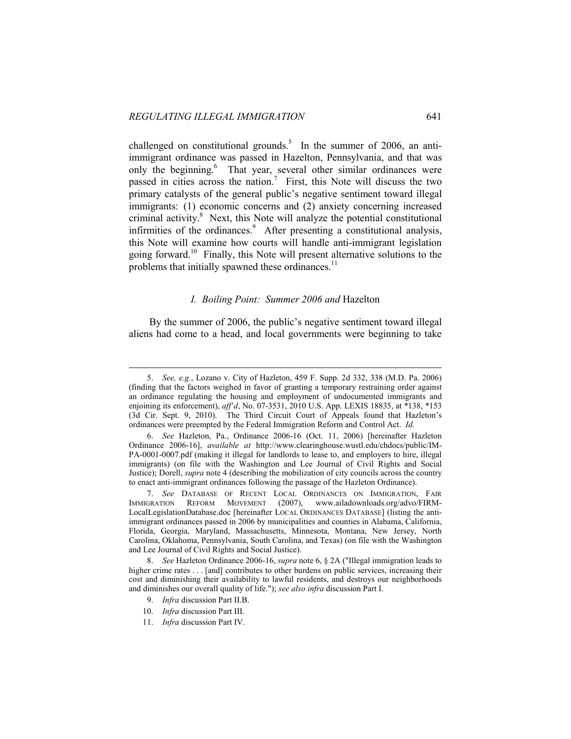challenged on constitutional grounds.<sup>5</sup> In the summer of 2006, an antiimmigrant ordinance was passed in Hazelton, Pennsylvania, and that was only the beginning.<sup>6</sup> That year, several other similar ordinances were passed in cities across the nation.<sup>7</sup> First, this Note will discuss the two primary catalysts of the general public's negative sentiment toward illegal immigrants: (1) economic concerns and (2) anxiety concerning increased criminal activity.<sup>8</sup> Next, this Note will analyze the potential constitutional infirmities of the ordinances.<sup>9</sup> After presenting a constitutional analysis, this Note will examine how courts will handle anti-immigrant legislation going forward.10 Finally, this Note will present alternative solutions to the problems that initially spawned these ordinances.<sup>11</sup>

### *I. Boiling Point: Summer 2006 and* Hazelton

By the summer of 2006, the public's negative sentiment toward illegal aliens had come to a head, and local governments were beginning to take

 <sup>5.</sup> *See, e.g.*, Lozano v. City of Hazleton, 459 F. Supp. 2d 332, 338 (M.D. Pa. 2006) (finding that the factors weighed in favor of granting a temporary restraining order against an ordinance regulating the housing and employment of undocumented immigrants and enjoining its enforcement), *aff*'*d*, No. 07-3531, 2010 U.S. App. LEXIS 18835, at \*138, \*153 (3d Cir. Sept. 9, 2010). The Third Circuit Court of Appeals found that Hazleton's ordinances were preempted by the Federal Immigration Reform and Control Act. *Id.*

 <sup>6.</sup> *See* Hazleton, Pa., Ordinance 2006-16 (Oct. 11, 2006) [hereinafter Hazleton Ordinance 2006-16], *available at* http://www.clearinghouse.wustl.edu/chdocs/public/IM-PA-0001-0007.pdf (making it illegal for landlords to lease to, and employers to hire, illegal immigrants) (on file with the Washington and Lee Journal of Civil Rights and Social Justice); Dorell, *supra* note 4 (describing the mobilization of city councils across the country to enact anti-immigrant ordinances following the passage of the Hazleton Ordinance).

 <sup>7.</sup> *See* DATABASE OF RECENT LOCAL ORDINANCES ON IMMIGRATION, FAIR IMMIGRATION REFORM MOVEMENT (2007), www.ailadownloads.org/advo/FIRM-LocalLegislationDatabase.doc [hereinafter LOCAL ORDINANCES DATABASE] (listing the antiimmigrant ordinances passed in 2006 by municipalities and counties in Alabama, California, Florida, Georgia, Maryland, Massachusetts, Minnesota, Montana, New Jersey, North Carolina, Oklahoma, Pennsylvania, South Carolina, and Texas) (on file with the Washington and Lee Journal of Civil Rights and Social Justice).

 <sup>8.</sup> *See* Hazleton Ordinance 2006-16, *supra* note 6, § 2A ("Illegal immigration leads to higher crime rates . . . [and] contributes to other burdens on public services, increasing their cost and diminishing their availability to lawful residents, and destroys our neighborhoods and diminishes our overall quality of life."); *see also infra* discussion Part I.

 <sup>9.</sup> *Infra* discussion Part II.B.

 <sup>10.</sup> *Infra* discussion Part III.

 <sup>11.</sup> *Infra* discussion Part IV.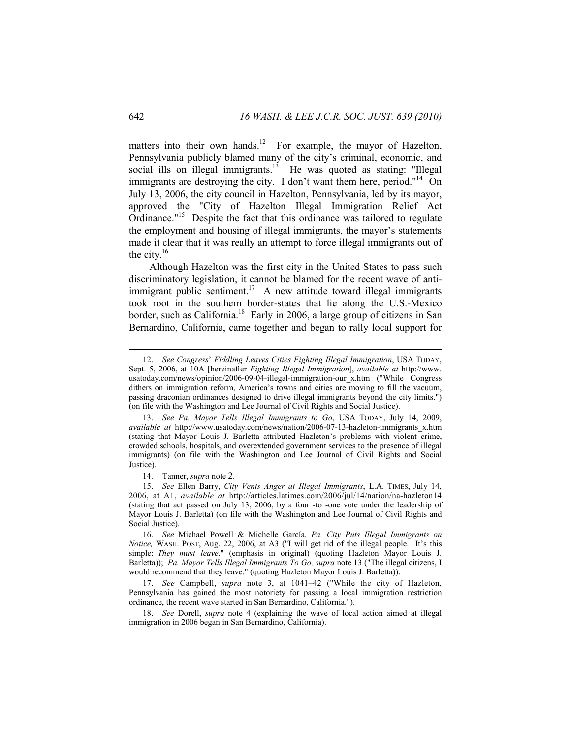matters into their own hands.<sup>12</sup> For example, the mayor of Hazelton, Pennsylvania publicly blamed many of the city's criminal, economic, and social ills on illegal immigrants.<sup>13</sup> He was quoted as stating: "Illegal immigrants are destroying the city. I don't want them here, period."<sup>14</sup> On July 13, 2006, the city council in Hazelton, Pennsylvania, led by its mayor, approved the "City of Hazelton Illegal Immigration Relief Act Ordinance."<sup>15</sup> Despite the fact that this ordinance was tailored to regulate the employment and housing of illegal immigrants, the mayor's statements made it clear that it was really an attempt to force illegal immigrants out of the city. $16$ 

Although Hazelton was the first city in the United States to pass such discriminatory legislation, it cannot be blamed for the recent wave of antiimmigrant public sentiment.<sup>17</sup> A new attitude toward illegal immigrants took root in the southern border-states that lie along the U.S.-Mexico border, such as California.<sup>18</sup> Early in 2006, a large group of citizens in San Bernardino, California, came together and began to rally local support for

 <sup>12.</sup> *See Congress*' *Fiddling Leaves Cities Fighting Illegal Immigration*, USA TODAY, Sept. 5, 2006, at 10A [hereinafter *Fighting Illegal Immigration*], *available at* http://www. usatoday.com/news/opinion/2006-09-04-illegal-immigration-our\_x.htm ("While Congress dithers on immigration reform, America's towns and cities are moving to fill the vacuum, passing draconian ordinances designed to drive illegal immigrants beyond the city limits.") (on file with the Washington and Lee Journal of Civil Rights and Social Justice).

 <sup>13.</sup> *See Pa. Mayor Tells Illegal Immigrants to Go*, USA TODAY, July 14, 2009, *available at* http://www.usatoday.com/news/nation/2006-07-13-hazleton-immigrants\_x.htm (stating that Mayor Louis J. Barletta attributed Hazleton's problems with violent crime, crowded schools, hospitals, and overextended government services to the presence of illegal immigrants) (on file with the Washington and Lee Journal of Civil Rights and Social Justice).

 <sup>14.</sup> Tanner, *supra* note 2.

 <sup>15.</sup> *See* Ellen Barry, *City Vents Anger at Illegal Immigrants*, L.A. TIMES, July 14, 2006, at A1, *available at* http://articles.latimes.com/2006/jul/14/nation/na-hazleton14 (stating that act passed on July 13, 2006, by a four -to -one vote under the leadership of Mayor Louis J. Barletta) (on file with the Washington and Lee Journal of Civil Rights and Social Justice).

 <sup>16.</sup> *See* Michael Powell & Michelle García, *Pa. City Puts Illegal Immigrants on Notice,* WASH. POST, Aug. 22, 2006, at A3 ("I will get rid of the illegal people. It's this simple: *They must leave*." (emphasis in original) (quoting Hazleton Mayor Louis J. Barletta)); *Pa. Mayor Tells Illegal Immigrants To Go, supra* note 13 ("The illegal citizens, I would recommend that they leave." (quoting Hazleton Mayor Louis J. Barletta)).

 <sup>17.</sup> *See* Campbell, *supra* note 3, at 1041–42 ("While the city of Hazleton, Pennsylvania has gained the most notoriety for passing a local immigration restriction ordinance, the recent wave started in San Bernardino, California.").

 <sup>18.</sup> *See* Dorell, *supra* note 4 (explaining the wave of local action aimed at illegal immigration in 2006 began in San Bernardino, California).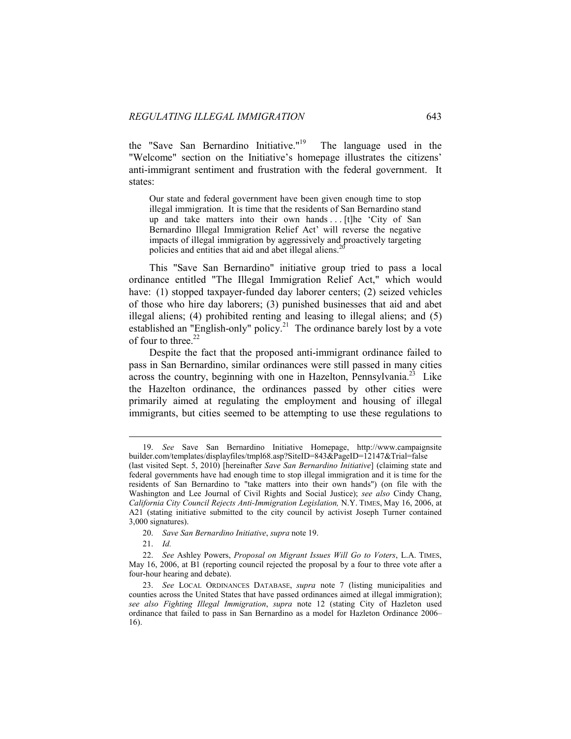the "Save San Bernardino Initiative."19 The language used in the "Welcome" section on the Initiative's homepage illustrates the citizens' anti-immigrant sentiment and frustration with the federal government. It states:

Our state and federal government have been given enough time to stop illegal immigration. It is time that the residents of San Bernardino stand up and take matters into their own hands . . . [t]he 'City of San Bernardino Illegal Immigration Relief Act' will reverse the negative impacts of illegal immigration by aggressively and proactively targeting policies and entities that aid and abet illegal aliens.<sup>20</sup>

This "Save San Bernardino" initiative group tried to pass a local ordinance entitled "The Illegal Immigration Relief Act," which would have: (1) stopped taxpayer-funded day laborer centers; (2) seized vehicles of those who hire day laborers; (3) punished businesses that aid and abet illegal aliens; (4) prohibited renting and leasing to illegal aliens; and (5) established an "English-only" policy.<sup>21</sup> The ordinance barely lost by a vote of four to three. $22$ 

Despite the fact that the proposed anti-immigrant ordinance failed to pass in San Bernardino, similar ordinances were still passed in many cities across the country, beginning with one in Hazelton, Pennsylvania.<sup>23</sup> Like the Hazelton ordinance, the ordinances passed by other cities were primarily aimed at regulating the employment and housing of illegal immigrants, but cities seemed to be attempting to use these regulations to

21. *Id.*

 <sup>19.</sup> *See* Save San Bernardino Initiative Homepage, http://www.campaignsite builder.com/templates/displayfiles/tmpl68.asp?SiteID=843&PageID=12147&Trial=false

<sup>(</sup>last visited Sept. 5, 2010) [hereinafter *Save San Bernardino Initiative*] (claiming state and federal governments have had enough time to stop illegal immigration and it is time for the residents of San Bernardino to "take matters into their own hands") (on file with the Washington and Lee Journal of Civil Rights and Social Justice); *see also* Cindy Chang, *California City Council Rejects Anti-Immigration Legislation,* N.Y. TIMES, May 16, 2006, at A21 (stating initiative submitted to the city council by activist Joseph Turner contained 3,000 signatures).

 <sup>20.</sup> *Save San Bernardino Initiative*, *supra* note 19.

 <sup>22.</sup> *See* Ashley Powers, *Proposal on Migrant Issues Will Go to Voters*, L.A. TIMES, May 16, 2006, at B1 (reporting council rejected the proposal by a four to three vote after a four-hour hearing and debate).

 <sup>23.</sup> *See* LOCAL ORDINANCES DATABASE, *supra* note 7 (listing municipalities and counties across the United States that have passed ordinances aimed at illegal immigration); *see also Fighting Illegal Immigration*, *supra* note 12 (stating City of Hazleton used ordinance that failed to pass in San Bernardino as a model for Hazleton Ordinance 2006– 16).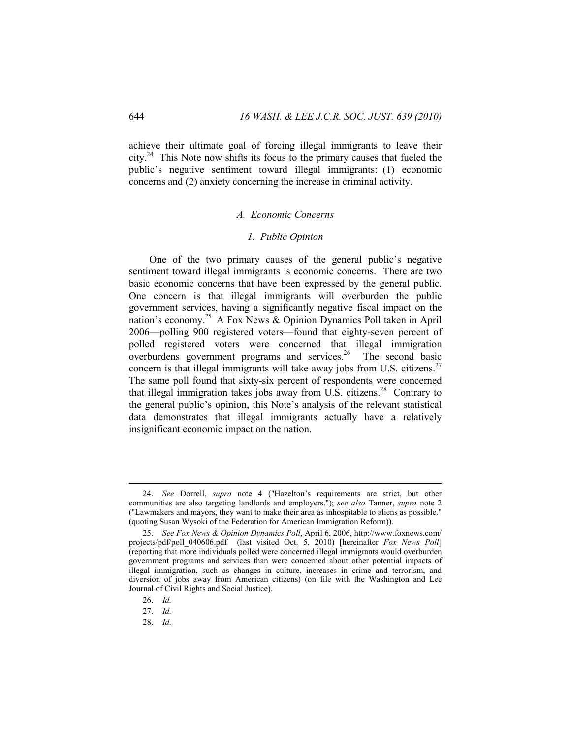achieve their ultimate goal of forcing illegal immigrants to leave their city.<sup>24</sup> This Note now shifts its focus to the primary causes that fueled the public's negative sentiment toward illegal immigrants: (1) economic concerns and (2) anxiety concerning the increase in criminal activity.

### *A. Economic Concerns*

### *1. Public Opinion*

One of the two primary causes of the general public's negative sentiment toward illegal immigrants is economic concerns. There are two basic economic concerns that have been expressed by the general public. One concern is that illegal immigrants will overburden the public government services, having a significantly negative fiscal impact on the nation's economy.<sup>25</sup> A Fox News & Opinion Dynamics Poll taken in April 2006—polling 900 registered voters—found that eighty-seven percent of polled registered voters were concerned that illegal immigration overburdens government programs and services.26 The second basic concern is that illegal immigrants will take away jobs from U.S. citizens.<sup>27</sup> The same poll found that sixty-six percent of respondents were concerned that illegal immigration takes jobs away from U.S. citizens.<sup>28</sup> Contrary to the general public's opinion, this Note's analysis of the relevant statistical data demonstrates that illegal immigrants actually have a relatively insignificant economic impact on the nation.

26. *Id.* 

 $\overline{a}$ 

28. *Id.* 

 <sup>24.</sup> *See* Dorrell, *supra* note 4 ("Hazelton's requirements are strict, but other communities are also targeting landlords and employers."); *see also* Tanner, *supra* note 2 ("Lawmakers and mayors, they want to make their area as inhospitable to aliens as possible." (quoting Susan Wysoki of the Federation for American Immigration Reform)).

 <sup>25.</sup> *See Fox News & Opinion Dynamics Poll*, April 6, 2006, http://www.foxnews.com/ projects/pdf/poll\_040606.pdf (last visited Oct. 5, 2010) [hereinafter *Fox News Poll*] (reporting that more individuals polled were concerned illegal immigrants would overburden government programs and services than were concerned about other potential impacts of illegal immigration, such as changes in culture, increases in crime and terrorism, and diversion of jobs away from American citizens) (on file with the Washington and Lee Journal of Civil Rights and Social Justice).

 <sup>27.</sup> *Id.*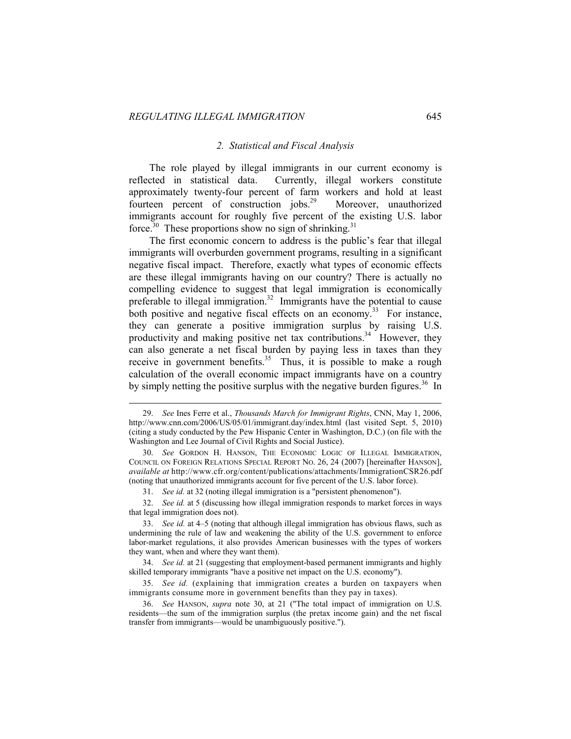$\overline{a}$ 

### *2. Statistical and Fiscal Analysis*

The role played by illegal immigrants in our current economy is reflected in statistical data. Currently, illegal workers constitute approximately twenty-four percent of farm workers and hold at least fourteen percent of construction jobs.<sup>29</sup> Moreover, unauthorized immigrants account for roughly five percent of the existing U.S. labor force.<sup>30</sup> These proportions show no sign of shrinking.<sup>31</sup>

The first economic concern to address is the public's fear that illegal immigrants will overburden government programs, resulting in a significant negative fiscal impact. Therefore, exactly what types of economic effects are these illegal immigrants having on our country? There is actually no compelling evidence to suggest that legal immigration is economically preferable to illegal immigration.<sup>32</sup> Immigrants have the potential to cause both positive and negative fiscal effects on an economy.<sup>33</sup> For instance, they can generate a positive immigration surplus by raising U.S. productivity and making positive net tax contributions.<sup>34</sup> However, they can also generate a net fiscal burden by paying less in taxes than they receive in government benefits.<sup>35</sup> Thus, it is possible to make a rough calculation of the overall economic impact immigrants have on a country by simply netting the positive surplus with the negative burden figures.<sup>36</sup> In

 <sup>29.</sup> *See* Ines Ferre et al., *Thousands March for Immigrant Rights*, CNN, May 1, 2006, http://www.cnn.com/2006/US/05/01/immigrant.day/index.html (last visited Sept. 5, 2010) (citing a study conducted by the Pew Hispanic Center in Washington, D.C.) (on file with the Washington and Lee Journal of Civil Rights and Social Justice).

 <sup>30.</sup> *See* GORDON H. HANSON, THE ECONOMIC LOGIC OF ILLEGAL IMMIGRATION, COUNCIL ON FOREIGN RELATIONS SPECIAL REPORT NO. 26, 24 (2007) [hereinafter HANSON], *available at* http://www.cfr.org/content/publications/attachments/ImmigrationCSR26.pdf (noting that unauthorized immigrants account for five percent of the U.S. labor force).

 <sup>31.</sup> *See id.* at 32 (noting illegal immigration is a "persistent phenomenon").

 <sup>32.</sup> *See id.* at 5 (discussing how illegal immigration responds to market forces in ways that legal immigration does not).

 <sup>33.</sup> *See id.* at 4–5 (noting that although illegal immigration has obvious flaws, such as undermining the rule of law and weakening the ability of the U.S. government to enforce labor-market regulations, it also provides American businesses with the types of workers they want, when and where they want them).

 <sup>34.</sup> *See id.* at 21 (suggesting that employment-based permanent immigrants and highly skilled temporary immigrants "have a positive net impact on the U.S. economy").

 <sup>35.</sup> *See id.* (explaining that immigration creates a burden on taxpayers when immigrants consume more in government benefits than they pay in taxes).

 <sup>36.</sup> *See* HANSON, *supra* note 30, at 21 ("The total impact of immigration on U.S. residents—the sum of the immigration surplus (the pretax income gain) and the net fiscal transfer from immigrants—would be unambiguously positive.").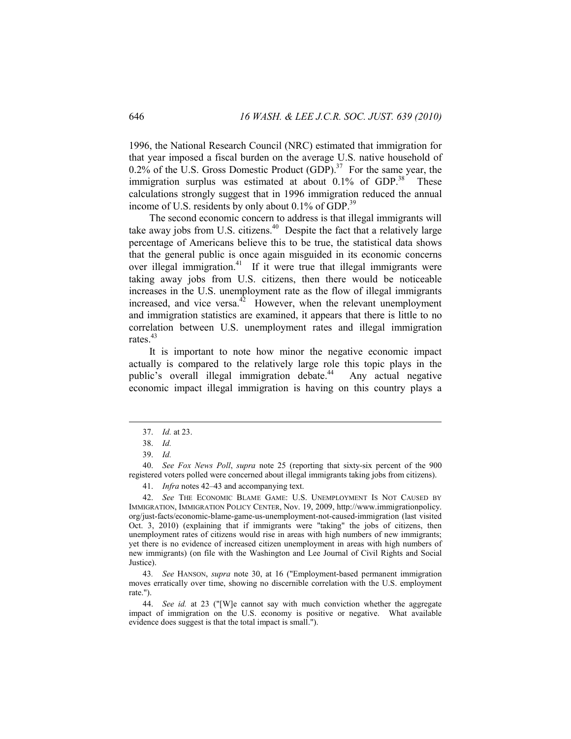1996, the National Research Council (NRC) estimated that immigration for that year imposed a fiscal burden on the average U.S. native household of 0.2% of the U.S. Gross Domestic Product  $(GDP)$ .<sup>37</sup> For the same year, the immigration surplus was estimated at about  $0.1\%$  of GDP.<sup>38</sup> These calculations strongly suggest that in 1996 immigration reduced the annual income of U.S. residents by only about  $0.1\%$  of GDP.<sup>39</sup>

The second economic concern to address is that illegal immigrants will take away jobs from U.S. citizens.<sup>40</sup> Despite the fact that a relatively large percentage of Americans believe this to be true, the statistical data shows that the general public is once again misguided in its economic concerns over illegal immigration.41 If it were true that illegal immigrants were taking away jobs from U.S. citizens, then there would be noticeable increases in the U.S. unemployment rate as the flow of illegal immigrants increased, and vice versa. $42$  However, when the relevant unemployment and immigration statistics are examined, it appears that there is little to no correlation between U.S. unemployment rates and illegal immigration rates.<sup>43</sup>

It is important to note how minor the negative economic impact actually is compared to the relatively large role this topic plays in the public's overall illegal immigration debate.<sup>44</sup> Any actual negative economic impact illegal immigration is having on this country plays a

 $\overline{a}$ 

41. *Infra* notes 42–43 and accompanying text.

 42. *See* THE ECONOMIC BLAME GAME: U.S. UNEMPLOYMENT IS NOT CAUSED BY IMMIGRATION, IMMIGRATION POLICY CENTER, Nov. 19, 2009, http://www.immigrationpolicy. org/just-facts/economic-blame-game-us-unemployment-not-caused-immigration (last visited Oct. 3, 2010) (explaining that if immigrants were "taking" the jobs of citizens, then unemployment rates of citizens would rise in areas with high numbers of new immigrants; yet there is no evidence of increased citizen unemployment in areas with high numbers of new immigrants) (on file with the Washington and Lee Journal of Civil Rights and Social Justice).

43*. See* HANSON, *supra* note 30, at 16 ("Employment-based permanent immigration moves erratically over time, showing no discernible correlation with the U.S. employment rate.").

 44. *See id.* at 23 ("[W]e cannot say with much conviction whether the aggregate impact of immigration on the U.S. economy is positive or negative. What available evidence does suggest is that the total impact is small.").

 <sup>37.</sup> *Id.* at 23.

 <sup>38.</sup> *Id.*

 <sup>39.</sup> *Id.*

 <sup>40.</sup> *See Fox News Poll*, *supra* note 25 (reporting that sixty-six percent of the 900 registered voters polled were concerned about illegal immigrants taking jobs from citizens).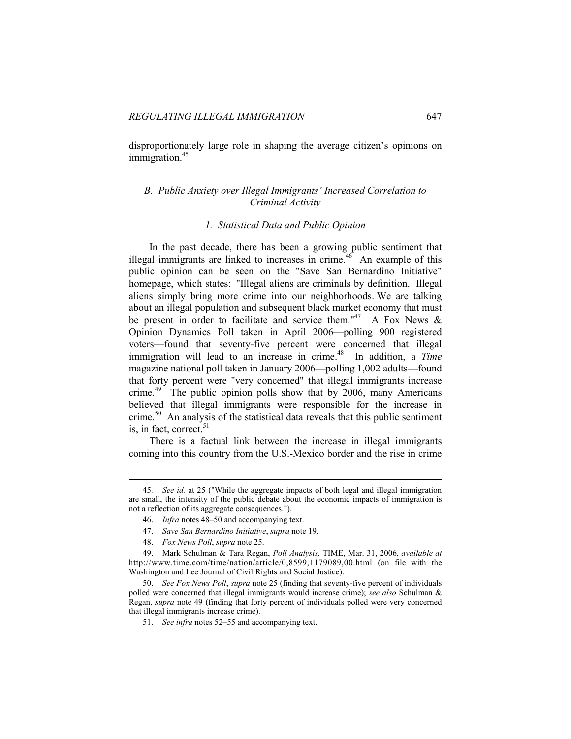disproportionately large role in shaping the average citizen's opinions on immigration.<sup>45</sup>

# *B. Public Anxiety over Illegal Immigrants' Increased Correlation to Criminal Activity*

# *1. Statistical Data and Public Opinion*

In the past decade, there has been a growing public sentiment that illegal immigrants are linked to increases in crime.<sup>46</sup> An example of this public opinion can be seen on the "Save San Bernardino Initiative" homepage, which states: "Illegal aliens are criminals by definition. Illegal aliens simply bring more crime into our neighborhoods. We are talking about an illegal population and subsequent black market economy that must be present in order to facilitate and service them."<sup>47</sup> A Fox News  $\&$ Opinion Dynamics Poll taken in April 2006—polling 900 registered voters—found that seventy-five percent were concerned that illegal immigration will lead to an increase in crime.<sup>48</sup> In addition, a *Time* magazine national poll taken in January 2006—polling 1,002 adults—found that forty percent were "very concerned" that illegal immigrants increase crime.<sup>49</sup> The public opinion polls show that by 2006, many Americans believed that illegal immigrants were responsible for the increase in crime.50 An analysis of the statistical data reveals that this public sentiment is, in fact, correct.<sup>51</sup>

There is a factual link between the increase in illegal immigrants coming into this country from the U.S.-Mexico border and the rise in crime

 <sup>45</sup>*. See id.* at 25 ("While the aggregate impacts of both legal and illegal immigration are small, the intensity of the public debate about the economic impacts of immigration is not a reflection of its aggregate consequences.").

 <sup>46.</sup> *Infra* notes 48–50 and accompanying text.

 <sup>47.</sup> *Save San Bernardino Initiative*, *supra* note 19.

 <sup>48.</sup> *Fox News Poll*, *supra* note 25.

 <sup>49.</sup> Mark Schulman & Tara Regan, *Poll Analysis,* TIME, Mar. 31, 2006, *available at* http://www.time.com/time/nation/article/0,8599,1179089,00.html (on file with the Washington and Lee Journal of Civil Rights and Social Justice).

 <sup>50.</sup> *See Fox News Poll*, *supra* note 25 (finding that seventy-five percent of individuals polled were concerned that illegal immigrants would increase crime); *see also* Schulman & Regan, *supra* note 49 (finding that forty percent of individuals polled were very concerned that illegal immigrants increase crime).

 <sup>51.</sup> *See infra* notes 52–55 and accompanying text.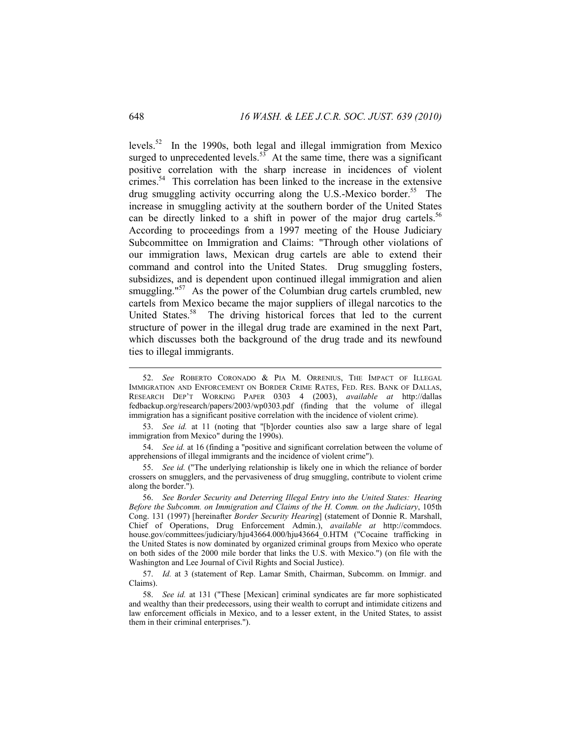levels.52 In the 1990s, both legal and illegal immigration from Mexico surged to unprecedented levels. $53$  At the same time, there was a significant positive correlation with the sharp increase in incidences of violent crimes.<sup>54</sup> This correlation has been linked to the increase in the extensive drug smuggling activity occurring along the U.S.-Mexico border.<sup>55</sup> The increase in smuggling activity at the southern border of the United States can be directly linked to a shift in power of the major drug cartels.<sup>56</sup> According to proceedings from a 1997 meeting of the House Judiciary Subcommittee on Immigration and Claims: "Through other violations of our immigration laws, Mexican drug cartels are able to extend their command and control into the United States. Drug smuggling fosters, subsidizes, and is dependent upon continued illegal immigration and alien smuggling." $57$  As the power of the Columbian drug cartels crumbled, new cartels from Mexico became the major suppliers of illegal narcotics to the United States.<sup>58</sup> The driving historical forces that led to the current structure of power in the illegal drug trade are examined in the next Part, which discusses both the background of the drug trade and its newfound ties to illegal immigrants.

 53. *See id.* at 11 (noting that "[b]order counties also saw a large share of legal immigration from Mexico" during the 1990s).

 54. *See id.* at 16 (finding a "positive and significant correlation between the volume of apprehensions of illegal immigrants and the incidence of violent crime").

 55. *See id.* ("The underlying relationship is likely one in which the reliance of border crossers on smugglers, and the pervasiveness of drug smuggling, contribute to violent crime along the border.").

 56. *See Border Security and Deterring Illegal Entry into the United States: Hearing Before the Subcomm. on Immigration and Claims of the H. Comm. on the Judiciary*, 105th Cong. 131 (1997) [hereinafter *Border Security Hearing*] (statement of Donnie R. Marshall, Chief of Operations, Drug Enforcement Admin.), *available at* http://commdocs. house.gov/committees/judiciary/hju43664.000/hju43664\_0.HTM ("Cocaine trafficking in the United States is now dominated by organized criminal groups from Mexico who operate on both sides of the 2000 mile border that links the U.S. with Mexico.") (on file with the Washington and Lee Journal of Civil Rights and Social Justice).

 57. *Id.* at 3 (statement of Rep. Lamar Smith, Chairman, Subcomm. on Immigr. and Claims).

 58. *See id.* at 131 ("These [Mexican] criminal syndicates are far more sophisticated and wealthy than their predecessors, using their wealth to corrupt and intimidate citizens and law enforcement officials in Mexico, and to a lesser extent, in the United States, to assist them in their criminal enterprises.").

 <sup>52.</sup> *See* ROBERTO CORONADO & PIA M. ORRENIUS, THE IMPACT OF ILLEGAL IMMIGRATION AND ENFORCEMENT ON BORDER CRIME RATES, FED. RES. BANK OF DALLAS, RESEARCH DEP'T WORKING PAPER 0303 4 (2003), *available at* http://dallas fedbackup.org/research/papers/2003/wp0303.pdf (finding that the volume of illegal immigration has a significant positive correlation with the incidence of violent crime).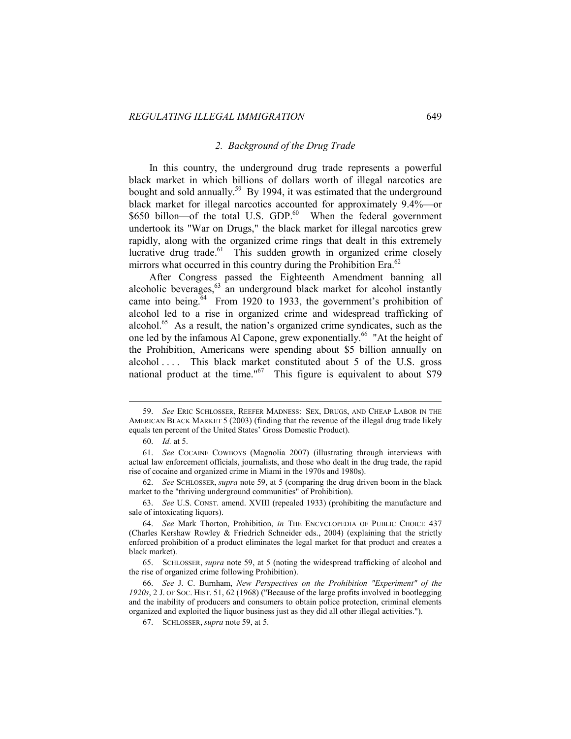### *2. Background of the Drug Trade*

In this country, the underground drug trade represents a powerful black market in which billions of dollars worth of illegal narcotics are bought and sold annually.<sup>59</sup> By 1994, it was estimated that the underground black market for illegal narcotics accounted for approximately 9.4%—or \$650 billon—of the total U.S. GDP.<sup>60</sup> When the federal government undertook its "War on Drugs," the black market for illegal narcotics grew rapidly, along with the organized crime rings that dealt in this extremely lucrative drug trade.<sup>61</sup> This sudden growth in organized crime closely mirrors what occurred in this country during the Prohibition Era. $^{62}$ 

After Congress passed the Eighteenth Amendment banning all alcoholic beverages,  $63$  an underground black market for alcohol instantly came into being. $64$  From 1920 to 1933, the government's prohibition of alcohol led to a rise in organized crime and widespread trafficking of alcohol.65 As a result, the nation's organized crime syndicates, such as the one led by the infamous Al Capone, grew exponentially.<sup>66</sup> "At the height of the Prohibition, Americans were spending about \$5 billion annually on alcohol .... This black market constituted about 5 of the U.S. gross national product at the time." $67$  This figure is equivalent to about \$79

 $\overline{a}$ 

 63. *See* U.S. CONST. amend. XVIII (repealed 1933) (prohibiting the manufacture and sale of intoxicating liquors).

 <sup>59.</sup> *See* ERIC SCHLOSSER, REEFER MADNESS: SEX, DRUGS, AND CHEAP LABOR IN THE AMERICAN BLACK MARKET 5 (2003) (finding that the revenue of the illegal drug trade likely equals ten percent of the United States' Gross Domestic Product).

 <sup>60.</sup> *Id.* at 5.

 <sup>61.</sup> *See* COCAINE COWBOYS (Magnolia 2007) (illustrating through interviews with actual law enforcement officials, journalists, and those who dealt in the drug trade, the rapid rise of cocaine and organized crime in Miami in the 1970s and 1980s).

 <sup>62.</sup> *See* SCHLOSSER, *supra* note 59, at 5 (comparing the drug driven boom in the black market to the "thriving underground communities" of Prohibition).

 <sup>64.</sup> *See* Mark Thorton, Prohibition, *in* THE ENCYCLOPEDIA OF PUBLIC CHOICE 437 (Charles Kershaw Rowley & Friedrich Schneider eds., 2004) (explaining that the strictly enforced prohibition of a product eliminates the legal market for that product and creates a black market).

 <sup>65.</sup> SCHLOSSER, *supra* note 59, at 5 (noting the widespread trafficking of alcohol and the rise of organized crime following Prohibition).

 <sup>66.</sup> *See* J. C. Burnham, *New Perspectives on the Prohibition "Experiment" of the 1920s*, 2 J. OF SOC. HIST. 51, 62 (1968) ("Because of the large profits involved in bootlegging and the inability of producers and consumers to obtain police protection, criminal elements organized and exploited the liquor business just as they did all other illegal activities.").

 <sup>67.</sup> SCHLOSSER, *supra* note 59, at 5.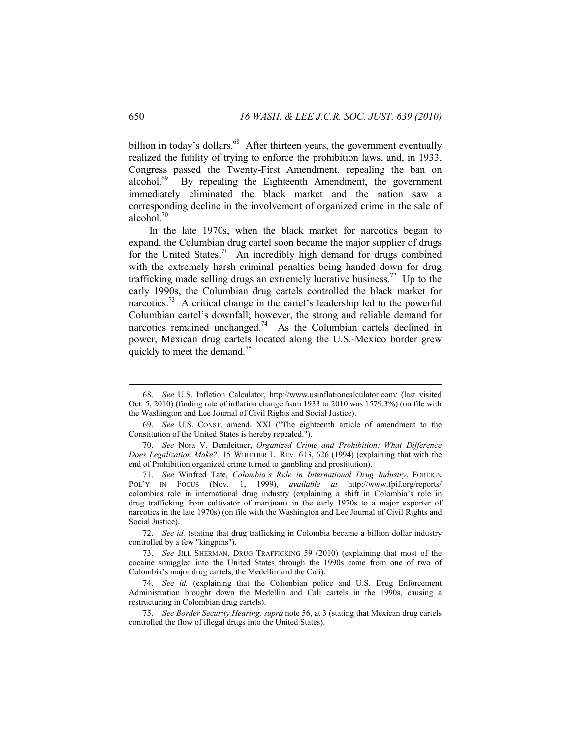billion in today's dollars.<sup>68</sup> After thirteen years, the government eventually realized the futility of trying to enforce the prohibition laws, and, in 1933, Congress passed the Twenty-First Amendment, repealing the ban on alcohol.69 By repealing the Eighteenth Amendment, the government immediately eliminated the black market and the nation saw a corresponding decline in the involvement of organized crime in the sale of alcohol. $70$ 

In the late 1970s, when the black market for narcotics began to expand, the Columbian drug cartel soon became the major supplier of drugs for the United States.<sup>71</sup> An incredibly high demand for drugs combined with the extremely harsh criminal penalties being handed down for drug trafficking made selling drugs an extremely lucrative business.<sup>72</sup> Up to the early 1990s, the Columbian drug cartels controlled the black market for narcotics.<sup>73</sup> A critical change in the cartel's leadership led to the powerful Columbian cartel's downfall; however, the strong and reliable demand for narcotics remained unchanged.<sup>74</sup> As the Columbian cartels declined in power, Mexican drug cartels located along the U.S.-Mexico border grew quickly to meet the demand.<sup>75</sup>

 72. *See id.* (stating that drug trafficking in Colombia became a billion dollar industry controlled by a few "kingpins").

 <sup>68.</sup> *See* U.S. Inflation Calculator, http://www.usinflationcalculator.com/ (last visited Oct. 5, 2010) (finding rate of inflation change from 1933 to 2010 was 1579.3%) (on file with the Washington and Lee Journal of Civil Rights and Social Justice).

 <sup>69.</sup> *See* U.S. CONST. amend. XXI ("The eighteenth article of amendment to the Constitution of the United States is hereby repealed.").

 <sup>70.</sup> *See* Nora V. Demleitner, *Organized Crime and Prohibition: What Difference Does Legalization Make?,* 15 WHITTIER L. REV. 613, 626 (1994) (explaining that with the end of Prohibition organized crime turned to gambling and prostitution).

 <sup>71.</sup> *See* Winfred Tate, *Colombia's Role in International Drug Industry*, FOREIGN POL'Y IN FOCUS (Nov. 1, 1999), *available at* http://www.fpif.org/reports/ colombias role in international drug industry (explaining a shift in Colombia's role in drug trafficking from cultivator of marijuana in the early 1970s to a major exporter of narcotics in the late 1970s) (on file with the Washington and Lee Journal of Civil Rights and Social Justice).

 <sup>73.</sup> *See* JILL SHERMAN, DRUG TRAFFICKING 59 (2010) (explaining that most of the cocaine smuggled into the United States through the 1990s came from one of two of Colombia's major drug cartels, the Medellin and the Cali).

 <sup>74.</sup> *See id.* (explaining that the Colombian police and U.S. Drug Enforcement Administration brought down the Medellin and Cali cartels in the 1990s, causing a restructuring in Colombian drug cartels).

 <sup>75.</sup> *See Border Security Hearing, supra* note 56, at 3 (stating that Mexican drug cartels controlled the flow of illegal drugs into the United States).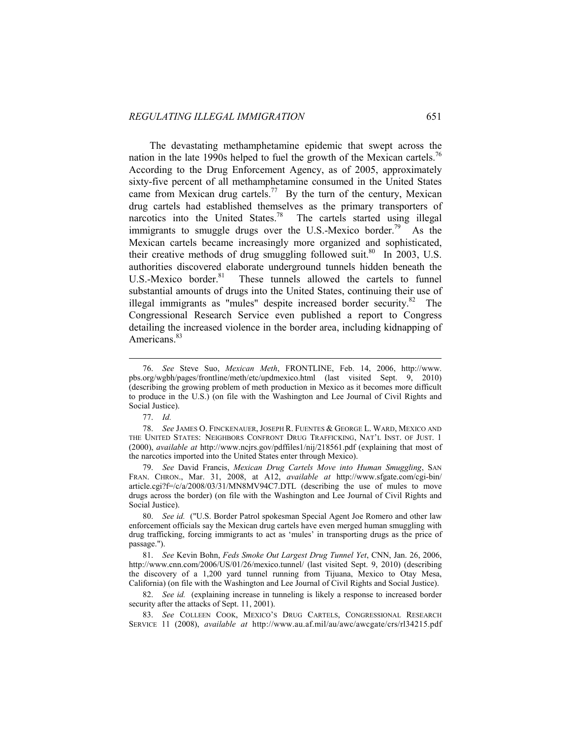The devastating methamphetamine epidemic that swept across the nation in the late 1990s helped to fuel the growth of the Mexican cartels.<sup>76</sup> According to the Drug Enforcement Agency, as of 2005, approximately sixty-five percent of all methamphetamine consumed in the United States came from Mexican drug cartels.<sup>77</sup> By the turn of the century, Mexican drug cartels had established themselves as the primary transporters of narcotics into the United States.<sup>78</sup> The cartels started using illegal immigrants to smuggle drugs over the U.S.-Mexico border.<sup>79</sup> As the Mexican cartels became increasingly more organized and sophisticated, their creative methods of drug smuggling followed suit.<sup>80</sup> In 2003, U.S. authorities discovered elaborate underground tunnels hidden beneath the U.S.-Mexico border.<sup>81</sup> These tunnels allowed the cartels to funnel substantial amounts of drugs into the United States, continuing their use of illegal immigrants as "mules" despite increased border security. $82$  The Congressional Research Service even published a report to Congress detailing the increased violence in the border area, including kidnapping of Americans.<sup>83</sup>

77. *Id.*

 <sup>76.</sup> *See* Steve Suo, *Mexican Meth*, FRONTLINE, Feb. 14, 2006, http://www. pbs.org/wgbh/pages/frontline/meth/etc/updmexico.html (last visited Sept. 9, 2010) (describing the growing problem of meth production in Mexico as it becomes more difficult to produce in the U.S.) (on file with the Washington and Lee Journal of Civil Rights and Social Justice).

 <sup>78.</sup> *See* JAMES O. FINCKENAUER, JOSEPH R. FUENTES & GEORGE L. WARD, MEXICO AND THE UNITED STATES: NEIGHBORS CONFRONT DRUG TRAFFICKING, NAT'L INST. OF JUST. 1 (2000), *available at* http://www.ncjrs.gov/pdffiles1/nij/218561.pdf (explaining that most of the narcotics imported into the United States enter through Mexico).

 <sup>79.</sup> *See* David Francis, *Mexican Drug Cartels Move into Human Smuggling*, SAN FRAN. CHRON., Mar. 31, 2008, at A12, *available at* http://www.sfgate.com/cgi-bin/ article.cgi?f=/c/a/2008/03/31/MN8MV94C7.DTL (describing the use of mules to move drugs across the border) (on file with the Washington and Lee Journal of Civil Rights and Social Justice).

 <sup>80.</sup> *See id.* ("U.S. Border Patrol spokesman Special Agent Joe Romero and other law enforcement officials say the Mexican drug cartels have even merged human smuggling with drug trafficking, forcing immigrants to act as 'mules' in transporting drugs as the price of passage.").

 <sup>81.</sup> *See* Kevin Bohn, *Feds Smoke Out Largest Drug Tunnel Yet*, CNN, Jan. 26, 2006, http://www.cnn.com/2006/US/01/26/mexico.tunnel/ (last visited Sept. 9, 2010) (describing the discovery of a 1,200 yard tunnel running from Tijuana, Mexico to Otay Mesa, California) (on file with the Washington and Lee Journal of Civil Rights and Social Justice).

 <sup>82.</sup> *See id.* (explaining increase in tunneling is likely a response to increased border security after the attacks of Sept. 11, 2001).

 <sup>83.</sup> *See* COLLEEN COOK, MEXICO'S DRUG CARTELS, CONGRESSIONAL RESEARCH SERVICE 11 (2008), *available at* http://www.au.af.mil/au/awc/awcgate/crs/rl34215.pdf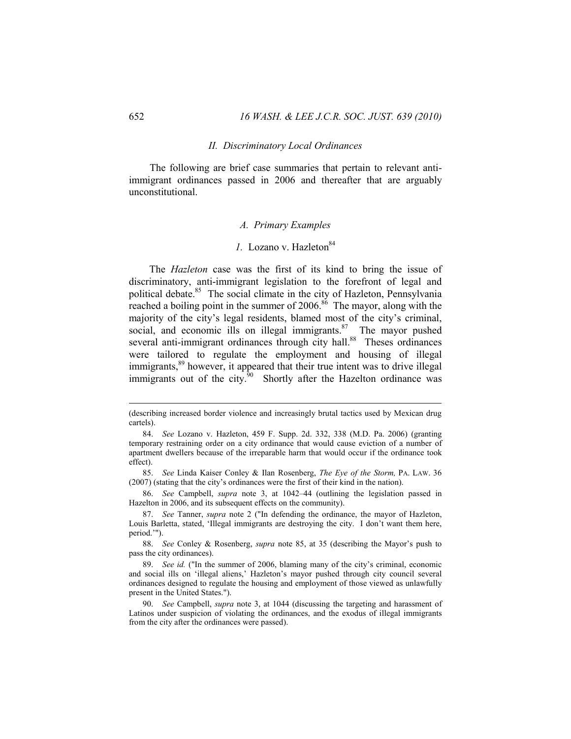### *II. Discriminatory Local Ordinances*

The following are brief case summaries that pertain to relevant antiimmigrant ordinances passed in 2006 and thereafter that are arguably unconstitutional.

### *A. Primary Examples*

# *l*. Lozano v. Hazleton<sup>84</sup>

The *Hazleton* case was the first of its kind to bring the issue of discriminatory, anti-immigrant legislation to the forefront of legal and political debate.<sup>85</sup> The social climate in the city of Hazleton, Pennsylvania reached a boiling point in the summer of  $2006$ .<sup>86</sup> The mayor, along with the majority of the city's legal residents, blamed most of the city's criminal, social, and economic ills on illegal immigrants. $87$  The mayor pushed several anti-immigrant ordinances through city hall.<sup>88</sup> Theses ordinances were tailored to regulate the employment and housing of illegal immigrants,<sup>89</sup> however, it appeared that their true intent was to drive illegal immigrants out of the city. $90$  Shortly after the Hazelton ordinance was

<sup>(</sup>describing increased border violence and increasingly brutal tactics used by Mexican drug cartels).

 <sup>84.</sup> *See* Lozano v. Hazleton, 459 F. Supp. 2d. 332, 338 (M.D. Pa. 2006) (granting temporary restraining order on a city ordinance that would cause eviction of a number of apartment dwellers because of the irreparable harm that would occur if the ordinance took effect).

 <sup>85.</sup> *See* Linda Kaiser Conley & Ilan Rosenberg, *The Eye of the Storm,* PA. LAW. 36 (2007) (stating that the city's ordinances were the first of their kind in the nation).

 <sup>86.</sup> *See* Campbell, *supra* note 3, at 1042–44 (outlining the legislation passed in Hazelton in 2006, and its subsequent effects on the community).

 <sup>87.</sup> *See* Tanner, *supra* note 2 ("In defending the ordinance, the mayor of Hazleton, Louis Barletta, stated, 'Illegal immigrants are destroying the city. I don't want them here, period.'").

 <sup>88.</sup> *See* Conley & Rosenberg, *supra* note 85, at 35 (describing the Mayor's push to pass the city ordinances).

 <sup>89.</sup> *See id.* ("In the summer of 2006, blaming many of the city's criminal, economic and social ills on 'illegal aliens,' Hazleton's mayor pushed through city council several ordinances designed to regulate the housing and employment of those viewed as unlawfully present in the United States.").

 <sup>90.</sup> *See* Campbell, *supra* note 3, at 1044 (discussing the targeting and harassment of Latinos under suspicion of violating the ordinances, and the exodus of illegal immigrants from the city after the ordinances were passed).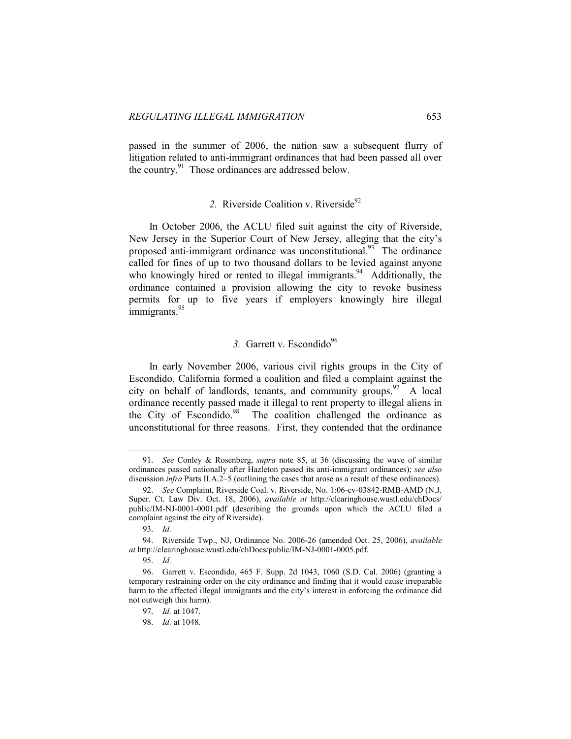passed in the summer of 2006, the nation saw a subsequent flurry of litigation related to anti-immigrant ordinances that had been passed all over the country.<sup>91</sup> Those ordinances are addressed below.

# 2. Riverside Coalition v. Riverside<sup>92</sup>

In October 2006, the ACLU filed suit against the city of Riverside, New Jersey in the Superior Court of New Jersey, alleging that the city's proposed anti-immigrant ordinance was unconstitutional.<sup>93</sup> The ordinance called for fines of up to two thousand dollars to be levied against anyone who knowingly hired or rented to illegal immigrants.<sup>94</sup> Additionally, the ordinance contained a provision allowing the city to revoke business permits for up to five years if employers knowingly hire illegal immigrants.<sup>95</sup>

# 3. Garrett v. Escondido<sup>96</sup>

In early November 2006, various civil rights groups in the City of Escondido, California formed a coalition and filed a complaint against the city on behalf of landlords, tenants, and community groups.  $\frac{97}{97}$  A local ordinance recently passed made it illegal to rent property to illegal aliens in the City of Escondido.<sup>98</sup> The coalition challenged the ordinance as unconstitutional for three reasons. First, they contended that the ordinance

 <sup>91.</sup> *See* Conley & Rosenberg, *supra* note 85, at 36 (discussing the wave of similar ordinances passed nationally after Hazleton passed its anti-immigrant ordinances); *see also* discussion *infra* Parts II.A.2–5 (outlining the cases that arose as a result of these ordinances).

 <sup>92.</sup> *See* Complaint, Riverside Coal. v. Riverside, No. 1:06-cv-03842-RMB-AMD (N.J. Super. Ct. Law Div. Oct. 18, 2006), *available at* http://clearinghouse.wustl.edu/chDocs/ public/IM-NJ-0001-0001.pdf (describing the grounds upon which the ACLU filed a complaint against the city of Riverside).

 <sup>93.</sup> *Id.*

 <sup>94.</sup> Riverside Twp., NJ, Ordinance No. 2006-26 (amended Oct. 25, 2006), *available at* http://clearinghouse.wustl.edu/chDocs/public/IM-NJ-0001-0005.pdf.

 <sup>95.</sup> *Id.*

 <sup>96.</sup> Garrett v. Escondido, 465 F. Supp. 2d 1043, 1060 (S.D. Cal. 2006) (granting a temporary restraining order on the city ordinance and finding that it would cause irreparable harm to the affected illegal immigrants and the city's interest in enforcing the ordinance did not outweigh this harm).

 <sup>97.</sup> *Id.* at 1047.

 <sup>98.</sup> *Id.* at 1048.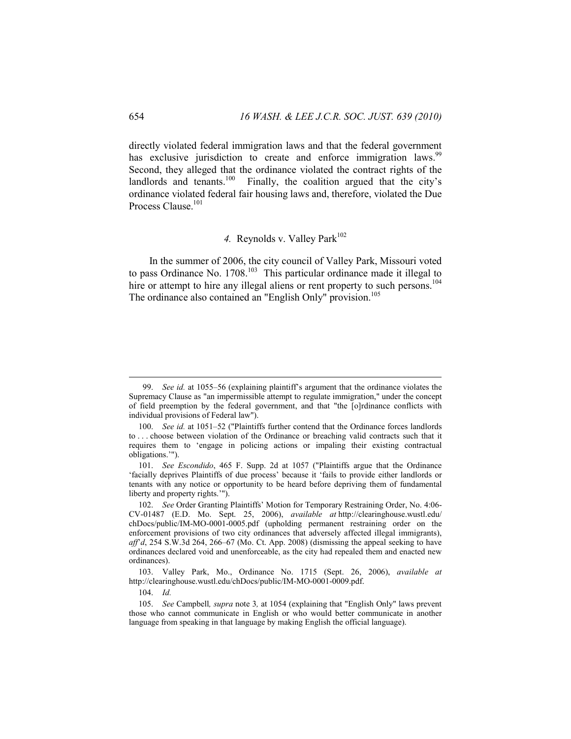directly violated federal immigration laws and that the federal government has exclusive jurisdiction to create and enforce immigration laws.<sup>99</sup> Second, they alleged that the ordinance violated the contract rights of the landlords and tenants.<sup>100</sup> Finally, the coalition argued that the city's Finally, the coalition argued that the city's ordinance violated federal fair housing laws and, therefore, violated the Due Process Clause.<sup>101</sup>

# 4. Reynolds v. Valley Park<sup>102</sup>

In the summer of 2006, the city council of Valley Park, Missouri voted to pass Ordinance No.  $1708$ <sup>103</sup> This particular ordinance made it illegal to hire or attempt to hire any illegal aliens or rent property to such persons.<sup>104</sup> The ordinance also contained an "English Only" provision.<sup>105</sup>

 <sup>99.</sup> *See id.* at 1055–56 (explaining plaintiff's argument that the ordinance violates the Supremacy Clause as "an impermissible attempt to regulate immigration," under the concept of field preemption by the federal government, and that "the [o]rdinance conflicts with individual provisions of Federal law").

 <sup>100.</sup> *See id.* at 1051–52 ("Plaintiffs further contend that the Ordinance forces landlords to . . . choose between violation of the Ordinance or breaching valid contracts such that it requires them to 'engage in policing actions or impaling their existing contractual obligations.'").

 <sup>101.</sup> *See Escondido*, 465 F. Supp. 2d at 1057 ("Plaintiffs argue that the Ordinance 'facially deprives Plaintiffs of due process' because it 'fails to provide either landlords or tenants with any notice or opportunity to be heard before depriving them of fundamental liberty and property rights.'").

 <sup>102.</sup> *See* Order Granting Plaintiffs' Motion for Temporary Restraining Order, No. 4:06- CV-01487 (E.D. Mo. Sept. 25, 2006), *available at* http://clearinghouse.wustl.edu/ chDocs/public/IM-MO-0001-0005.pdf (upholding permanent restraining order on the enforcement provisions of two city ordinances that adversely affected illegal immigrants), *aff*'*d*, 254 S.W.3d 264, 266–67 (Mo. Ct. App. 2008) (dismissing the appeal seeking to have ordinances declared void and unenforceable, as the city had repealed them and enacted new ordinances).

 <sup>103.</sup> Valley Park, Mo., Ordinance No. 1715 (Sept. 26, 2006), *available at*  http://clearinghouse.wustl.edu/chDocs/public/IM-MO-0001-0009.pdf.

 <sup>104.</sup> *Id.*

 <sup>105.</sup> *See* Campbell*, supra* note 3*,* at 1054 (explaining that "English Only" laws prevent those who cannot communicate in English or who would better communicate in another language from speaking in that language by making English the official language).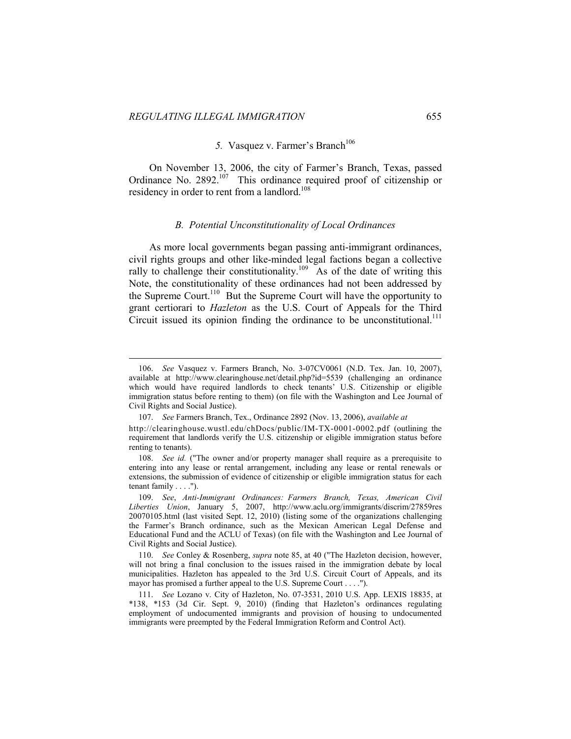$\overline{a}$ 

# 5. Vasquez v. Farmer's Branch<sup>106</sup>

On November 13, 2006, the city of Farmer's Branch, Texas, passed Ordinance No.  $2892$ <sup>107</sup> This ordinance required proof of citizenship or residency in order to rent from a landlord.<sup>108</sup>

### *B. Potential Unconstitutionality of Local Ordinances*

As more local governments began passing anti-immigrant ordinances, civil rights groups and other like-minded legal factions began a collective rally to challenge their constitutionality.<sup>109</sup> As of the date of writing this Note, the constitutionality of these ordinances had not been addressed by the Supreme Court.110 But the Supreme Court will have the opportunity to grant certiorari to *Hazleton* as the U.S. Court of Appeals for the Third Circuit issued its opinion finding the ordinance to be unconstitutional.<sup>111</sup>

 <sup>106.</sup> *See* Vasquez v. Farmers Branch, No. 3-07CV0061 (N.D. Tex. Jan. 10, 2007), available at http://www.clearinghouse.net/detail.php?id=5539 (challenging an ordinance which would have required landlords to check tenants' U.S. Citizenship or eligible immigration status before renting to them) (on file with the Washington and Lee Journal of Civil Rights and Social Justice).

 <sup>107.</sup> *See* Farmers Branch, Tex., Ordinance 2892 (Nov. 13, 2006), *available at* 

http://clearinghouse.wustl.edu/chDocs/public/IM-TX-0001-0002.pdf (outlining the requirement that landlords verify the U.S. citizenship or eligible immigration status before renting to tenants).

 <sup>108.</sup> *See id.* ("The owner and/or property manager shall require as a prerequisite to entering into any lease or rental arrangement, including any lease or rental renewals or extensions, the submission of evidence of citizenship or eligible immigration status for each tenant family . . . .").

 <sup>109.</sup> *See*, *Anti-Immigrant Ordinances: Farmers Branch, Texas, American Civil Liberties Union*, January 5, 2007, http://www.aclu.org/immigrants/discrim/27859res 20070105.html (last visited Sept. 12, 2010) (listing some of the organizations challenging the Farmer's Branch ordinance, such as the Mexican American Legal Defense and Educational Fund and the ACLU of Texas) (on file with the Washington and Lee Journal of Civil Rights and Social Justice).

 <sup>110.</sup> *See* Conley & Rosenberg, *supra* note 85, at 40 ("The Hazleton decision, however, will not bring a final conclusion to the issues raised in the immigration debate by local municipalities. Hazleton has appealed to the 3rd U.S. Circuit Court of Appeals, and its mayor has promised a further appeal to the U.S. Supreme Court . . . .").

 <sup>111.</sup> *See* Lozano v. City of Hazleton, No. 07-3531, 2010 U.S. App. LEXIS 18835, at \*138, \*153 (3d Cir. Sept. 9, 2010) (finding that Hazleton's ordinances regulating employment of undocumented immigrants and provision of housing to undocumented immigrants were preempted by the Federal Immigration Reform and Control Act).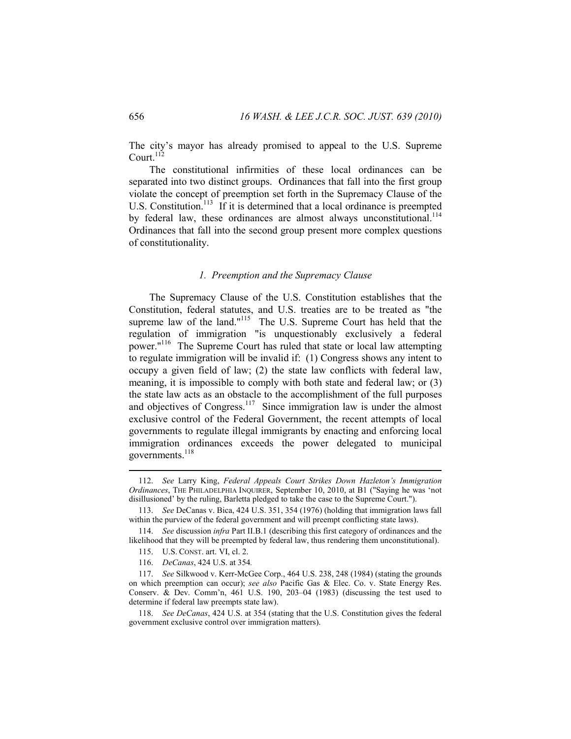The city's mayor has already promised to appeal to the U.S. Supreme Court. $^{112}$ 

The constitutional infirmities of these local ordinances can be separated into two distinct groups. Ordinances that fall into the first group violate the concept of preemption set forth in the Supremacy Clause of the U.S. Constitution.<sup>113</sup> If it is determined that a local ordinance is preempted by federal law, these ordinances are almost always unconstitutional.<sup>114</sup> Ordinances that fall into the second group present more complex questions of constitutionality.

#### *1. Preemption and the Supremacy Clause*

The Supremacy Clause of the U.S. Constitution establishes that the Constitution, federal statutes, and U.S. treaties are to be treated as "the supreme law of the land."<sup>115</sup> The U.S. Supreme Court has held that the regulation of immigration "is unquestionably exclusively a federal power."116 The Supreme Court has ruled that state or local law attempting to regulate immigration will be invalid if: (1) Congress shows any intent to occupy a given field of law; (2) the state law conflicts with federal law, meaning, it is impossible to comply with both state and federal law; or (3) the state law acts as an obstacle to the accomplishment of the full purposes and objectives of Congress.<sup>117</sup> Since immigration law is under the almost exclusive control of the Federal Government, the recent attempts of local governments to regulate illegal immigrants by enacting and enforcing local immigration ordinances exceeds the power delegated to municipal governments. $^{118}$ 

 <sup>112.</sup> *See* Larry King, *Federal Appeals Court Strikes Down Hazleton's Immigration Ordinances*, THE PHILADELPHIA INQUIRER, September 10, 2010, at B1 ("Saying he was 'not disillusioned' by the ruling, Barletta pledged to take the case to the Supreme Court.").

 <sup>113.</sup> *See* DeCanas v. Bica, 424 U.S. 351, 354 (1976) (holding that immigration laws fall within the purview of the federal government and will preempt conflicting state laws).

 <sup>114.</sup> *See* discussion *infra* Part II.B.1 (describing this first category of ordinances and the likelihood that they will be preempted by federal law, thus rendering them unconstitutional).

 <sup>115.</sup> U.S. CONST. art. VI, cl. 2.

 <sup>116.</sup> *DeCanas*, 424 U.S. at 354*.* 

 <sup>117.</sup> *See* Silkwood v. Kerr-McGee Corp., 464 U.S. 238, 248 (1984) (stating the grounds on which preemption can occur); *see also* Pacific Gas & Elec. Co. v. State Energy Res. Conserv. & Dev. Comm'n, 461 U.S. 190, 203–04 (1983) (discussing the test used to determine if federal law preempts state law).

 <sup>118.</sup> *See DeCanas*, 424 U.S. at 354 (stating that the U.S. Constitution gives the federal government exclusive control over immigration matters).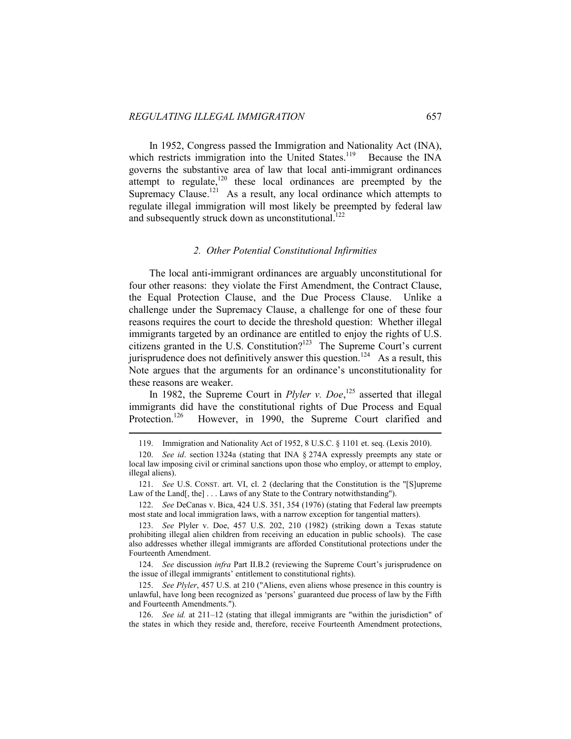$\overline{a}$ 

In 1952, Congress passed the Immigration and Nationality Act (INA), which restricts immigration into the United States.<sup>119</sup> Because the INA governs the substantive area of law that local anti-immigrant ordinances attempt to regulate,<sup>120</sup> these local ordinances are preempted by the Supremacy Clause.<sup>121</sup> As a result, any local ordinance which attempts to regulate illegal immigration will most likely be preempted by federal law and subsequently struck down as unconstitutional.<sup>122</sup>

### *2. Other Potential Constitutional Infirmities*

The local anti-immigrant ordinances are arguably unconstitutional for four other reasons: they violate the First Amendment, the Contract Clause, the Equal Protection Clause, and the Due Process Clause. Unlike a challenge under the Supremacy Clause, a challenge for one of these four reasons requires the court to decide the threshold question: Whether illegal immigrants targeted by an ordinance are entitled to enjoy the rights of U.S. citizens granted in the U.S. Constitution?<sup>123</sup> The Supreme Court's current jurisprudence does not definitively answer this question.<sup>124</sup> As a result, this Note argues that the arguments for an ordinance's unconstitutionality for these reasons are weaker.

In 1982, the Supreme Court in *Plyler v. Doe*, 125 asserted that illegal immigrants did have the constitutional rights of Due Process and Equal Protection.<sup>126</sup> However, in 1990, the Supreme Court clarified and

 122. *See* DeCanas v. Bica, 424 U.S. 351, 354 (1976) (stating that Federal law preempts most state and local immigration laws, with a narrow exception for tangential matters).

 124. *See* discussion *infra* Part II.B.2 (reviewing the Supreme Court's jurisprudence on the issue of illegal immigrants' entitlement to constitutional rights).

 125. *See Plyler*, 457 U.S. at 210 ("Aliens, even aliens whose presence in this country is unlawful, have long been recognized as 'persons' guaranteed due process of law by the Fifth and Fourteenth Amendments.").

 126. *See id.* at 211–12 (stating that illegal immigrants are "within the jurisdiction" of the states in which they reside and, therefore, receive Fourteenth Amendment protections,

 <sup>119.</sup> Immigration and Nationality Act of 1952, 8 U.S.C. § 1101 et. seq. (Lexis 2010).

 <sup>120.</sup> *See id*. section 1324a (stating that INA § 274A expressly preempts any state or local law imposing civil or criminal sanctions upon those who employ, or attempt to employ, illegal aliens).

 <sup>121.</sup> *See* U.S. CONST. art. VI, cl. 2 (declaring that the Constitution is the "[S]upreme Law of the Land[, the] . . . Laws of any State to the Contrary notwithstanding").

 <sup>123.</sup> *See* Plyler v. Doe, 457 U.S. 202, 210 (1982) (striking down a Texas statute prohibiting illegal alien children from receiving an education in public schools). The case also addresses whether illegal immigrants are afforded Constitutional protections under the Fourteenth Amendment.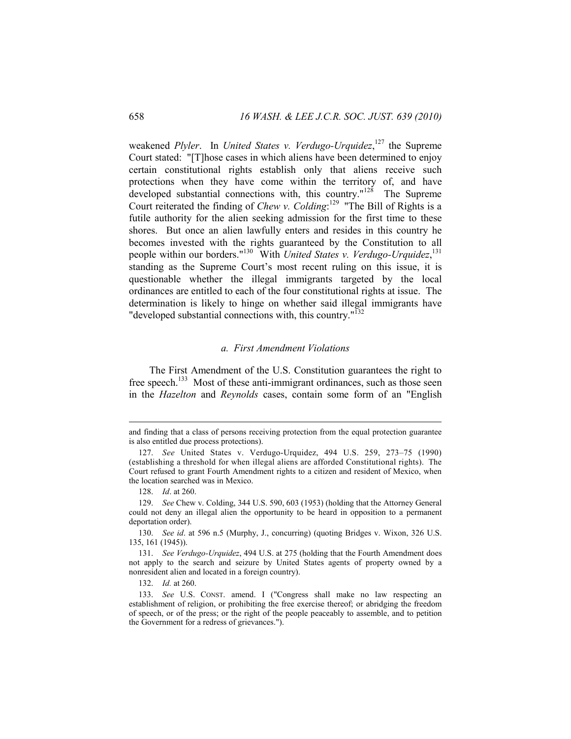weakened *Plyler*. In *United States v. Verdugo-Urquidez*, 127 the Supreme Court stated: "[T]hose cases in which aliens have been determined to enjoy certain constitutional rights establish only that aliens receive such protections when they have come within the territory of, and have developed substantial connections with, this country."<sup>128</sup> The Supreme Court reiterated the finding of *Chew v. Colding*: 129 "The Bill of Rights is a futile authority for the alien seeking admission for the first time to these shores. But once an alien lawfully enters and resides in this country he becomes invested with the rights guaranteed by the Constitution to all people within our borders."130 With *United States v. Verdugo-Urquidez*, 131 standing as the Supreme Court's most recent ruling on this issue, it is questionable whether the illegal immigrants targeted by the local ordinances are entitled to each of the four constitutional rights at issue. The determination is likely to hinge on whether said illegal immigrants have "developed substantial connections with, this country."<sup>132</sup>

### *a. First Amendment Violations*

The First Amendment of the U.S. Constitution guarantees the right to free speech.<sup>133</sup> Most of these anti-immigrant ordinances, such as those seen in the *Hazelton* and *Reynolds* cases, contain some form of an "English

 $\overline{a}$ 

132. *Id.* at 260.

and finding that a class of persons receiving protection from the equal protection guarantee is also entitled due process protections).

 <sup>127.</sup> *See* United States v. Verdugo-Urquidez, 494 U.S. 259, 273–75 (1990) (establishing a threshold for when illegal aliens are afforded Constitutional rights). The Court refused to grant Fourth Amendment rights to a citizen and resident of Mexico, when the location searched was in Mexico.

 <sup>128.</sup> *Id*. at 260.

 <sup>129.</sup> *See* Chew v. Colding, 344 U.S. 590, 603 (1953) (holding that the Attorney General could not deny an illegal alien the opportunity to be heard in opposition to a permanent deportation order).

 <sup>130.</sup> *See id*. at 596 n.5 (Murphy, J., concurring) (quoting Bridges v. Wixon, 326 U.S. 135, 161 (1945)).

 <sup>131.</sup> *See Verdugo-Urquidez*, 494 U.S. at 275 (holding that the Fourth Amendment does not apply to the search and seizure by United States agents of property owned by a nonresident alien and located in a foreign country).

 <sup>133.</sup> *See* U.S. CONST. amend. I ("Congress shall make no law respecting an establishment of religion, or prohibiting the free exercise thereof; or abridging the freedom of speech, or of the press; or the right of the people peaceably to assemble, and to petition the Government for a redress of grievances.").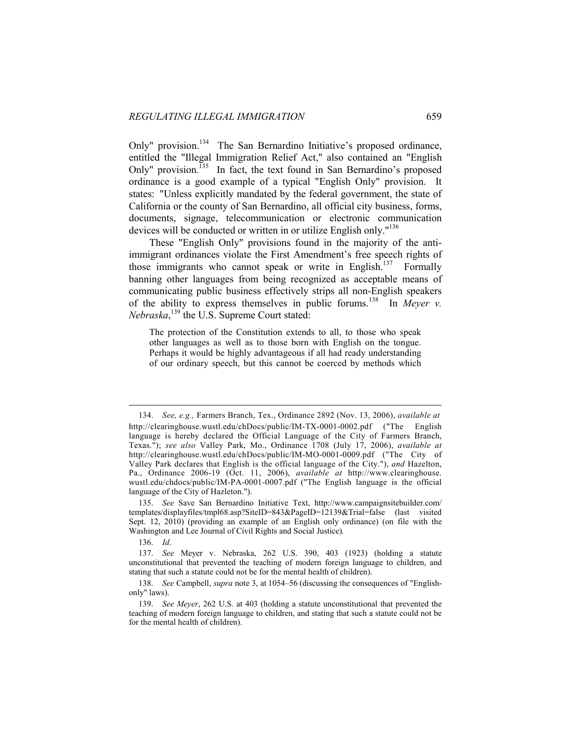Only" provision.<sup>134</sup> The San Bernardino Initiative's proposed ordinance, entitled the "Illegal Immigration Relief Act," also contained an "English Only" provision.<sup>135</sup> In fact, the text found in San Bernardino's proposed ordinance is a good example of a typical "English Only" provision. It states: "Unless explicitly mandated by the federal government, the state of California or the county of San Bernardino, all official city business, forms, documents, signage, telecommunication or electronic communication devices will be conducted or written in or utilize English only.<sup>"136</sup>

These "English Only" provisions found in the majority of the antiimmigrant ordinances violate the First Amendment's free speech rights of those immigrants who cannot speak or write in English.<sup>137</sup> Formally banning other languages from being recognized as acceptable means of communicating public business effectively strips all non-English speakers of the ability to express themselves in public forums.138 In *Meyer v. Nebraska*, 139 the U.S. Supreme Court stated:

The protection of the Constitution extends to all, to those who speak other languages as well as to those born with English on the tongue. Perhaps it would be highly advantageous if all had ready understanding of our ordinary speech, but this cannot be coerced by methods which

136. *Id*.

 <sup>134.</sup> *See, e.g.,* Farmers Branch, Tex., Ordinance 2892 (Nov. 13, 2006), *available at*  http://clearinghouse.wustl.edu/chDocs/public/IM-TX-0001-0002.pdf ("The English language is hereby declared the Official Language of the City of Farmers Branch, Texas."); *see also* Valley Park, Mo., Ordinance 1708 (July 17, 2006), *available at*  http://clearinghouse.wustl.edu/chDocs/public/IM-MO-0001-0009.pdf ("The City of Valley Park declares that English is the official language of the City."), *and* Hazelton, Pa., Ordinance 2006-19 (Oct. 11, 2006), *available at* http://www.clearinghouse. wustl.edu/chdocs/public/IM-PA-0001-0007.pdf ("The English language is the official language of the City of Hazleton.").

 <sup>135.</sup> *See* Save San Bernardino Initiative Text, http://www.campaignsitebuilder.com/ templates/displayfiles/tmpl68.asp?SiteID=843&PageID=12139&Trial=false (last visited Sept. 12, 2010) (providing an example of an English only ordinance) (on file with the Washington and Lee Journal of Civil Rights and Social Justice)*.* 

 <sup>137.</sup> *See* Meyer v. Nebraska, 262 U.S. 390, 403 (1923) (holding a statute unconstitutional that prevented the teaching of modern foreign language to children, and stating that such a statute could not be for the mental health of children).

 <sup>138.</sup> *See* Campbell, *supra* note 3, at 1054–56 (discussing the consequences of "Englishonly" laws).

 <sup>139.</sup> *See Meyer*, 262 U.S. at 403 (holding a statute unconstitutional that prevented the teaching of modern foreign language to children, and stating that such a statute could not be for the mental health of children).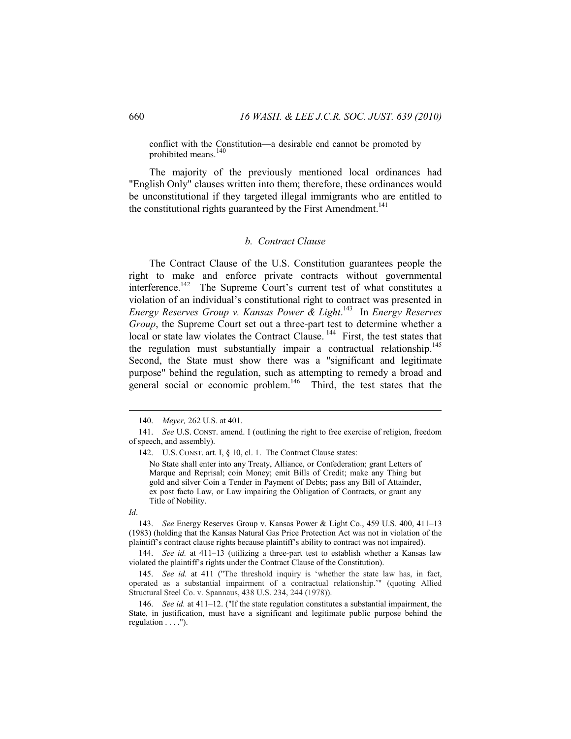conflict with the Constitution—a desirable end cannot be promoted by prohibited means.

The majority of the previously mentioned local ordinances had "English Only" clauses written into them; therefore, these ordinances would be unconstitutional if they targeted illegal immigrants who are entitled to the constitutional rights guaranteed by the First Amendment.<sup>141</sup>

# *b. Contract Clause*

The Contract Clause of the U.S. Constitution guarantees people the right to make and enforce private contracts without governmental interference.<sup>142</sup> The Supreme Court's current test of what constitutes a violation of an individual's constitutional right to contract was presented in *Energy Reserves Group v. Kansas Power & Light*. 143 In *Energy Reserves Group*, the Supreme Court set out a three-part test to determine whether a  $\frac{1}{2}$ local or state law violates the Contract Clause.  $\frac{1}{4}$  First, the test states that the regulation must substantially impair a contractual relationship.<sup>145</sup> Second, the State must show there was a "significant and legitimate purpose" behind the regulation, such as attempting to remedy a broad and general social or economic problem.<sup>146</sup> Third, the test states that the

 <sup>140.</sup> *Meyer,* 262 U.S. at 401.

 <sup>141.</sup> *See* U.S. CONST. amend. I (outlining the right to free exercise of religion, freedom of speech, and assembly).

 <sup>142.</sup> U.S. CONST. art. I, § 10, cl. 1. The Contract Clause states: No State shall enter into any Treaty, Alliance, or Confederation; grant Letters of Marque and Reprisal; coin Money; emit Bills of Credit; make any Thing but gold and silver Coin a Tender in Payment of Debts; pass any Bill of Attainder, ex post facto Law, or Law impairing the Obligation of Contracts, or grant any Title of Nobility.

*Id*.

 <sup>143.</sup> *See* Energy Reserves Group v. Kansas Power & Light Co., 459 U.S. 400, 411–13 (1983) (holding that the Kansas Natural Gas Price Protection Act was not in violation of the plaintiff's contract clause rights because plaintiff's ability to contract was not impaired).

 <sup>144.</sup> *See id.* at 411–13 (utilizing a three-part test to establish whether a Kansas law violated the plaintiff's rights under the Contract Clause of the Constitution).

 <sup>145.</sup> *See id.* at 411 ("The threshold inquiry is 'whether the state law has, in fact, operated as a substantial impairment of a contractual relationship.'" (quoting Allied Structural Steel Co. v. Spannaus, 438 U.S. 234, 244 (1978)).

 <sup>146.</sup> *See id.* at 411–12. ("If the state regulation constitutes a substantial impairment, the State, in justification, must have a significant and legitimate public purpose behind the regulation . . . .").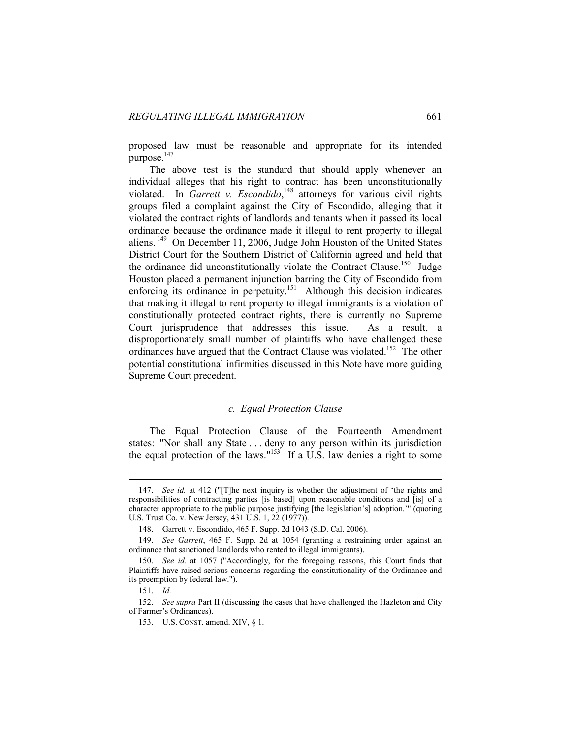proposed law must be reasonable and appropriate for its intended purpose.<sup>147</sup>

The above test is the standard that should apply whenever an individual alleges that his right to contract has been unconstitutionally violated. In *Garrett v. Escondido*,<sup>148</sup> attorneys for various civil rights groups filed a complaint against the City of Escondido, alleging that it violated the contract rights of landlords and tenants when it passed its local ordinance because the ordinance made it illegal to rent property to illegal aliens. 149 On December 11, 2006, Judge John Houston of the United States District Court for the Southern District of California agreed and held that the ordinance did unconstitutionally violate the Contract Clause.<sup>150</sup> Judge Houston placed a permanent injunction barring the City of Escondido from enforcing its ordinance in perpetuity.<sup>151</sup> Although this decision indicates that making it illegal to rent property to illegal immigrants is a violation of constitutionally protected contract rights, there is currently no Supreme Court jurisprudence that addresses this issue. As a result, a disproportionately small number of plaintiffs who have challenged these ordinances have argued that the Contract Clause was violated.<sup>152</sup> The other potential constitutional infirmities discussed in this Note have more guiding Supreme Court precedent.

#### *c. Equal Protection Clause*

The Equal Protection Clause of the Fourteenth Amendment states: "Nor shall any State . . . deny to any person within its jurisdiction the equal protection of the laws."<sup>153</sup> If a U.S. law denies a right to some

 <sup>147.</sup> *See id.* at 412 ("[T]he next inquiry is whether the adjustment of 'the rights and responsibilities of contracting parties [is based] upon reasonable conditions and [is] of a character appropriate to the public purpose justifying [the legislation's] adoption.'" (quoting U.S. Trust Co. v. New Jersey, 431 U.S. 1, 22 (1977)).

 <sup>148.</sup> Garrett v. Escondido, 465 F. Supp. 2d 1043 (S.D. Cal. 2006).

 <sup>149.</sup> *See Garrett*, 465 F. Supp. 2d at 1054 (granting a restraining order against an ordinance that sanctioned landlords who rented to illegal immigrants).

 <sup>150.</sup> *See id*. at 1057 ("Accordingly, for the foregoing reasons, this Court finds that Plaintiffs have raised serious concerns regarding the constitutionality of the Ordinance and its preemption by federal law.").

 <sup>151.</sup> *Id.*

 <sup>152.</sup> *See supra* Part II (discussing the cases that have challenged the Hazleton and City of Farmer's Ordinances).

 <sup>153.</sup> U.S. CONST. amend. XIV, § 1.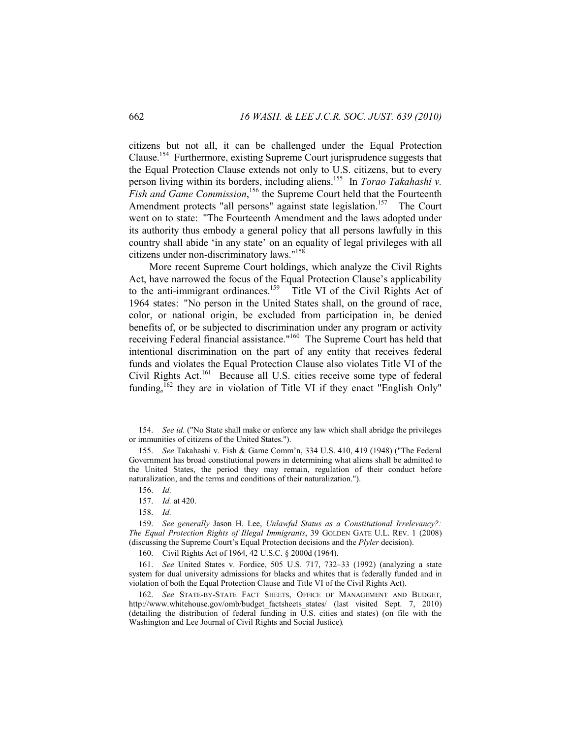citizens but not all, it can be challenged under the Equal Protection Clause.154 Furthermore, existing Supreme Court jurisprudence suggests that the Equal Protection Clause extends not only to U.S. citizens, but to every person living within its borders, including aliens.155 In *Torao Takahashi v.*  Fish and Game Commission,<sup>156</sup> the Supreme Court held that the Fourteenth Amendment protects "all persons" against state legislation.<sup>157</sup> The Court went on to state: "The Fourteenth Amendment and the laws adopted under its authority thus embody a general policy that all persons lawfully in this country shall abide 'in any state' on an equality of legal privileges with all citizens under non-discriminatory laws."158

More recent Supreme Court holdings, which analyze the Civil Rights Act, have narrowed the focus of the Equal Protection Clause's applicability to the anti-immigrant ordinances.<sup>159</sup> Title VI of the Civil Rights Act of 1964 states: "No person in the United States shall, on the ground of race, color, or national origin, be excluded from participation in, be denied benefits of, or be subjected to discrimination under any program or activity receiving Federal financial assistance."160 The Supreme Court has held that intentional discrimination on the part of any entity that receives federal funds and violates the Equal Protection Clause also violates Title VI of the Civil Rights Act.<sup>161</sup> Because all U.S. cities receive some type of federal funding, <sup>162</sup> they are in violation of Title VI if they enact "English Only"

 <sup>154.</sup> *See id.* ("No State shall make or enforce any law which shall abridge the privileges or immunities of citizens of the United States.").

 <sup>155.</sup> *See* Takahashi v. Fish & Game Comm'n, 334 U.S. 410, 419 (1948) ("The Federal Government has broad constitutional powers in determining what aliens shall be admitted to the United States, the period they may remain, regulation of their conduct before naturalization, and the terms and conditions of their naturalization.").

 <sup>156.</sup> *Id.*

 <sup>157.</sup> *Id.* at 420.

 <sup>158.</sup> *Id.*

 <sup>159.</sup> *See generally* Jason H. Lee, *Unlawful Status as a Constitutional Irrelevancy?: The Equal Protection Rights of Illegal Immigrants*, 39 GOLDEN GATE U.L. REV. 1 (2008) (discussing the Supreme Court's Equal Protection decisions and the *Plyler* decision).

 <sup>160.</sup> Civil Rights Act of 1964, 42 U.S.C. § 2000d (1964).

 <sup>161.</sup> *See* United States v. Fordice, 505 U.S. 717, 732–33 (1992) (analyzing a state system for dual university admissions for blacks and whites that is federally funded and in violation of both the Equal Protection Clause and Title VI of the Civil Rights Act).

 <sup>162.</sup> *See* STATE-BY-STATE FACT SHEETS, OFFICE OF MANAGEMENT AND BUDGET, http://www.whitehouse.gov/omb/budget\_factsheets\_states/ (last visited Sept. 7, 2010) (detailing the distribution of federal funding in U.S. cities and states) (on file with the Washington and Lee Journal of Civil Rights and Social Justice)*.*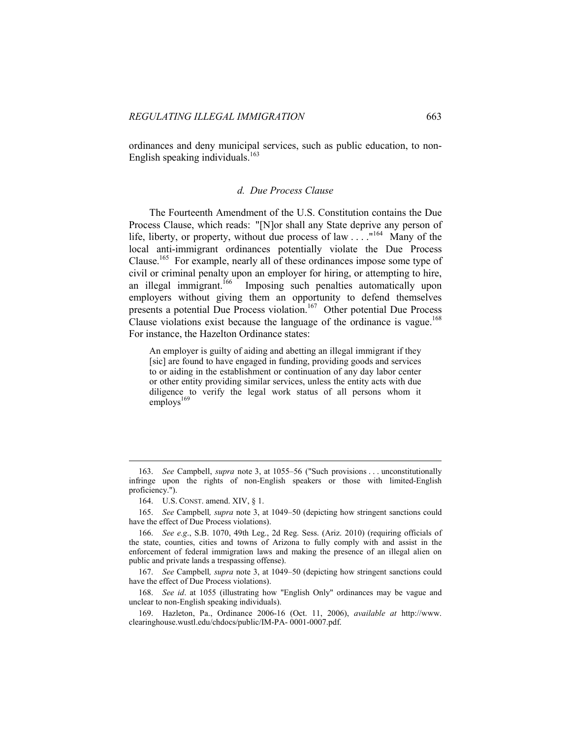ordinances and deny municipal services, such as public education, to non-English speaking individuals. $163$ 

### *d. Due Process Clause*

The Fourteenth Amendment of the U.S. Constitution contains the Due Process Clause, which reads: "[N]or shall any State deprive any person of life, liberty, or property, without due process of law  $\ldots$  ."<sup>164</sup> Many of the local anti-immigrant ordinances potentially violate the Due Process Clause.165 For example, nearly all of these ordinances impose some type of civil or criminal penalty upon an employer for hiring, or attempting to hire, an illegal immigrant.<sup>166</sup> Imposing such penalties automatically upon employers without giving them an opportunity to defend themselves presents a potential Due Process violation.<sup>167</sup> Other potential Due Process Clause violations exist because the language of the ordinance is vague.<sup>168</sup> For instance, the Hazelton Ordinance states:

An employer is guilty of aiding and abetting an illegal immigrant if they [sic] are found to have engaged in funding, providing goods and services to or aiding in the establishment or continuation of any day labor center or other entity providing similar services, unless the entity acts with due diligence to verify the legal work status of all persons whom it employs<sup>169</sup>

 <sup>163.</sup> *See* Campbell, *supra* note 3, at 1055–56 ("Such provisions . . . unconstitutionally infringe upon the rights of non-English speakers or those with limited-English proficiency.").

 <sup>164.</sup> U.S. CONST. amend. XIV, § 1.

 <sup>165.</sup> *See* Campbell*, supra* note 3, at 1049–50 (depicting how stringent sanctions could have the effect of Due Process violations).

 <sup>166.</sup> *See e.g*., S.B. 1070, 49th Leg., 2d Reg. Sess. (Ariz. 2010) (requiring officials of the state, counties, cities and towns of Arizona to fully comply with and assist in the enforcement of federal immigration laws and making the presence of an illegal alien on public and private lands a trespassing offense).

 <sup>167.</sup> *See* Campbell*, supra* note 3, at 1049–50 (depicting how stringent sanctions could have the effect of Due Process violations).

 <sup>168.</sup> *See id*. at 1055 (illustrating how "English Only" ordinances may be vague and unclear to non-English speaking individuals).

 <sup>169.</sup> Hazleton, Pa., Ordinance 2006-16 (Oct. 11, 2006), *available at* http://www. clearinghouse.wustl.edu/chdocs/public/IM-PA- 0001-0007.pdf.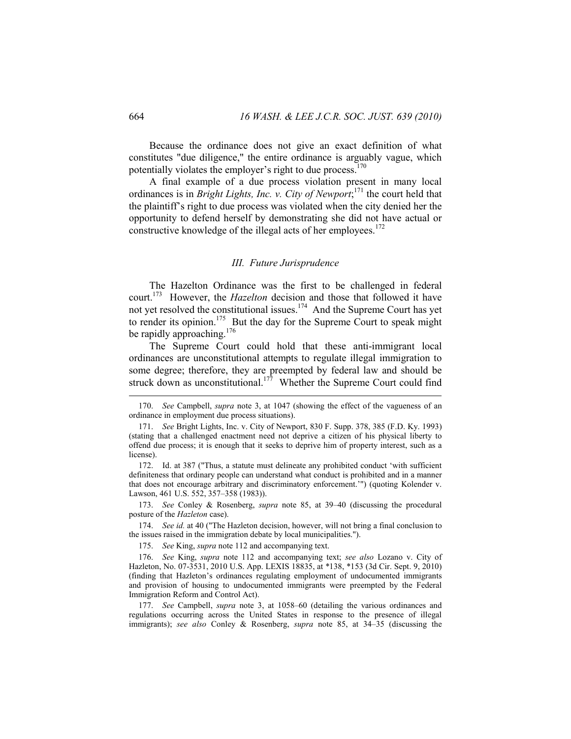Because the ordinance does not give an exact definition of what constitutes "due diligence," the entire ordinance is arguably vague, which potentially violates the employer's right to due process.<sup>170</sup>

A final example of a due process violation present in many local ordinances is in *Bright Lights, Inc. v. City of Newport*; 171 the court held that the plaintiff's right to due process was violated when the city denied her the opportunity to defend herself by demonstrating she did not have actual or constructive knowledge of the illegal acts of her employees.<sup>172</sup>

### *III. Future Jurisprudence*

The Hazelton Ordinance was the first to be challenged in federal court.173 However, the *Hazelton* decision and those that followed it have not yet resolved the constitutional issues.<sup>174</sup> And the Supreme Court has yet to render its opinion.<sup>175</sup> But the day for the Supreme Court to speak might be rapidly approaching.<sup>176</sup>

The Supreme Court could hold that these anti-immigrant local ordinances are unconstitutional attempts to regulate illegal immigration to some degree; therefore, they are preempted by federal law and should be struck down as unconstitutional.<sup>177</sup> Whether the Supreme Court could find

 173. *See* Conley & Rosenberg, *supra* note 85, at 39–40 (discussing the procedural posture of the *Hazleton* case).

 174. *See id.* at 40 ("The Hazleton decision, however, will not bring a final conclusion to the issues raised in the immigration debate by local municipalities.").

175. *See* King, *supra* note 112 and accompanying text.

 176. *See* King, *supra* note 112 and accompanying text; *see also* Lozano v. City of Hazleton, No. 07-3531, 2010 U.S. App. LEXIS 18835, at \*138, \*153 (3d Cir. Sept. 9, 2010) (finding that Hazleton's ordinances regulating employment of undocumented immigrants and provision of housing to undocumented immigrants were preempted by the Federal Immigration Reform and Control Act).

 177. *See* Campbell, *supra* note 3, at 1058–60 (detailing the various ordinances and regulations occurring across the United States in response to the presence of illegal immigrants); *see also* Conley & Rosenberg, *supra* note 85, at 34–35 (discussing the

 <sup>170.</sup> *See* Campbell, *supra* note 3, at 1047 (showing the effect of the vagueness of an ordinance in employment due process situations).

 <sup>171.</sup> *See* Bright Lights, Inc. v. City of Newport, 830 F. Supp. 378, 385 (F.D. Ky. 1993) (stating that a challenged enactment need not deprive a citizen of his physical liberty to offend due process; it is enough that it seeks to deprive him of property interest, such as a license).

 <sup>172.</sup> Id. at 387 ("Thus, a statute must delineate any prohibited conduct 'with sufficient definiteness that ordinary people can understand what conduct is prohibited and in a manner that does not encourage arbitrary and discriminatory enforcement.'") (quoting Kolender v. Lawson, 461 U.S. 552, 357–358 (1983)).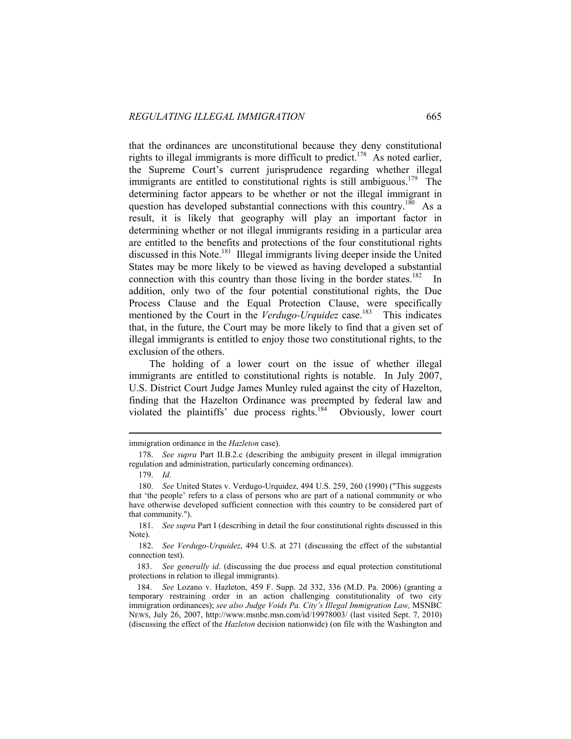that the ordinances are unconstitutional because they deny constitutional rights to illegal immigrants is more difficult to predict.178 As noted earlier, the Supreme Court's current jurisprudence regarding whether illegal immigrants are entitled to constitutional rights is still ambiguous.<sup>179</sup> The determining factor appears to be whether or not the illegal immigrant in question has developed substantial connections with this country.<sup>180</sup> As a result, it is likely that geography will play an important factor in determining whether or not illegal immigrants residing in a particular area are entitled to the benefits and protections of the four constitutional rights discussed in this Note.<sup>181</sup> Illegal immigrants living deeper inside the United States may be more likely to be viewed as having developed a substantial connection with this country than those living in the border states.<sup>182</sup> In addition, only two of the four potential constitutional rights, the Due Process Clause and the Equal Protection Clause, were specifically mentioned by the Court in the *Verdugo-Urquidez* case.<sup>183</sup> This indicates that, in the future, the Court may be more likely to find that a given set of illegal immigrants is entitled to enjoy those two constitutional rights, to the exclusion of the others.

The holding of a lower court on the issue of whether illegal immigrants are entitled to constitutional rights is notable. In July 2007, U.S. District Court Judge James Munley ruled against the city of Hazelton, finding that the Hazelton Ordinance was preempted by federal law and violated the plaintiffs' due process rights.<sup>184</sup> Obviously, lower court

 $\overline{a}$ 

 181. *See supra* Part I (describing in detail the four constitutional rights discussed in this Note).

 182. *See Verdugo-Urquidez*, 494 U.S. at 271 (discussing the effect of the substantial connection test).

 183. *See generally id*. (discussing the due process and equal protection constitutional protections in relation to illegal immigrants).

 184. *See* Lozano v. Hazleton, 459 F. Supp. 2d 332, 336 (M.D. Pa. 2006) (granting a temporary restraining order in an action challenging constitutionality of two city immigration ordinances); *see also Judge Voids Pa. City's Illegal Immigration Law*, MSNBC NEWS, July 26, 2007, http://www.msnbc.msn.com/id/19978003/ (last visited Sept. 7, 2010) (discussing the effect of the *Hazleton* decision nationwide) (on file with the Washington and

immigration ordinance in the *Hazleton* case).

 <sup>178.</sup> *See supra* Part II.B.2.c (describing the ambiguity present in illegal immigration regulation and administration, particularly concerning ordinances).

 <sup>179.</sup> *Id.*

 <sup>180.</sup> *See* United States v. Verdugo-Urquidez, 494 U.S. 259, 260 (1990) ("This suggests that 'the people' refers to a class of persons who are part of a national community or who have otherwise developed sufficient connection with this country to be considered part of that community.").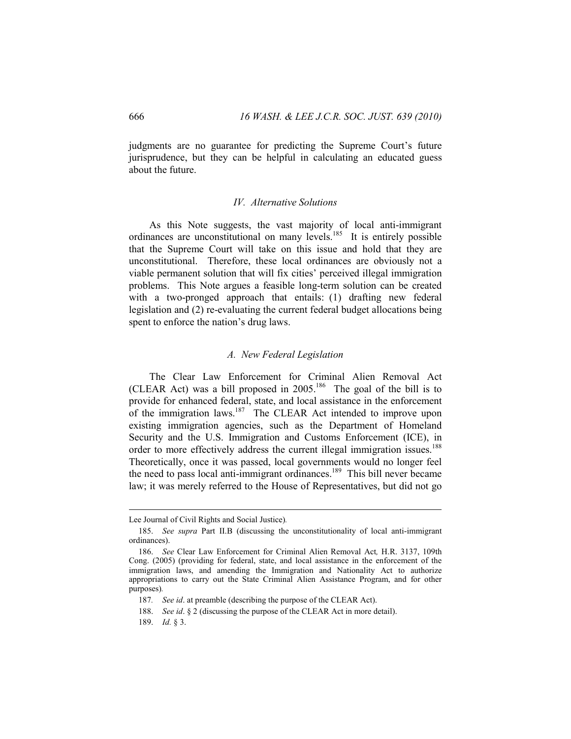judgments are no guarantee for predicting the Supreme Court's future jurisprudence, but they can be helpful in calculating an educated guess about the future.

### *IV. Alternative Solutions*

As this Note suggests, the vast majority of local anti-immigrant ordinances are unconstitutional on many levels.<sup>185</sup> It is entirely possible that the Supreme Court will take on this issue and hold that they are unconstitutional. Therefore, these local ordinances are obviously not a viable permanent solution that will fix cities' perceived illegal immigration problems. This Note argues a feasible long-term solution can be created with a two-pronged approach that entails: (1) drafting new federal legislation and (2) re-evaluating the current federal budget allocations being spent to enforce the nation's drug laws.

### *A. New Federal Legislation*

The Clear Law Enforcement for Criminal Alien Removal Act (CLEAR Act) was a bill proposed in  $2005$ .<sup>186</sup> The goal of the bill is to provide for enhanced federal, state, and local assistance in the enforcement of the immigration laws.<sup>187</sup> The CLEAR Act intended to improve upon existing immigration agencies, such as the Department of Homeland Security and the U.S. Immigration and Customs Enforcement (ICE), in order to more effectively address the current illegal immigration issues.<sup>188</sup> Theoretically, once it was passed, local governments would no longer feel the need to pass local anti-immigrant ordinances.<sup>189</sup> This bill never became law; it was merely referred to the House of Representatives, but did not go

Lee Journal of Civil Rights and Social Justice)*.* 

 <sup>185.</sup> *See supra* Part II.B (discussing the unconstitutionality of local anti-immigrant ordinances).

 <sup>186.</sup> *See* Clear Law Enforcement for Criminal Alien Removal Act*,* H.R. 3137, 109th Cong. (2005) (providing for federal, state, and local assistance in the enforcement of the immigration laws, and amending the Immigration and Nationality Act to authorize appropriations to carry out the State Criminal Alien Assistance Program, and for other purposes)*.*

<sup>187</sup>*. See id*. at preamble (describing the purpose of the CLEAR Act).

 <sup>188.</sup> *See id*. § 2 (discussing the purpose of the CLEAR Act in more detail).

 <sup>189.</sup> *Id.* § 3.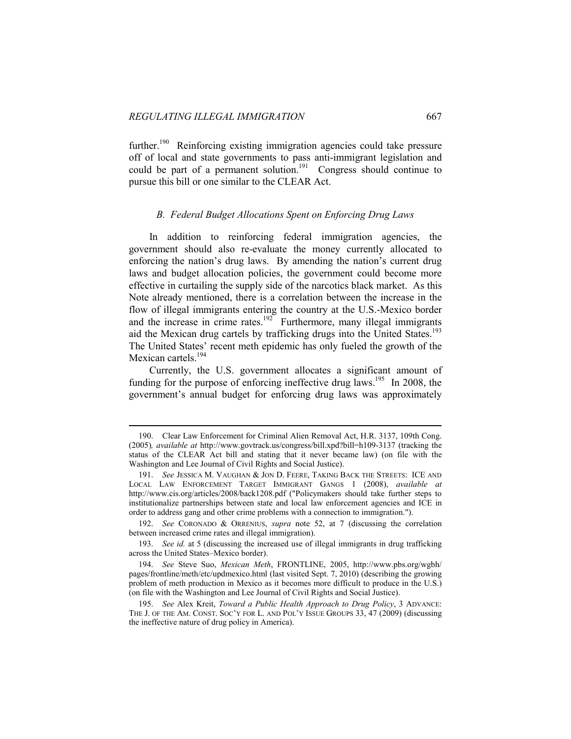$\overline{a}$ 

further.<sup>190</sup> Reinforcing existing immigration agencies could take pressure off of local and state governments to pass anti-immigrant legislation and could be part of a permanent solution.<sup>191</sup> Congress should continue to pursue this bill or one similar to the CLEAR Act.

### *B. Federal Budget Allocations Spent on Enforcing Drug Laws*

In addition to reinforcing federal immigration agencies, the government should also re-evaluate the money currently allocated to enforcing the nation's drug laws. By amending the nation's current drug laws and budget allocation policies, the government could become more effective in curtailing the supply side of the narcotics black market. As this Note already mentioned, there is a correlation between the increase in the flow of illegal immigrants entering the country at the U.S.-Mexico border and the increase in crime rates.<sup>192</sup> Furthermore, many illegal immigrants aid the Mexican drug cartels by trafficking drugs into the United States.<sup>193</sup> The United States' recent meth epidemic has only fueled the growth of the Mexican cartels.<sup>194</sup>

Currently, the U.S. government allocates a significant amount of funding for the purpose of enforcing ineffective drug laws.<sup>195</sup> In 2008, the government's annual budget for enforcing drug laws was approximately

 <sup>190.</sup> Clear Law Enforcement for Criminal Alien Removal Act, H.R. 3137, 109th Cong. (2005)*, available at* http://www.govtrack.us/congress/bill.xpd?bill=h109-3137 (tracking the status of the CLEAR Act bill and stating that it never became law) (on file with the Washington and Lee Journal of Civil Rights and Social Justice).

 <sup>191.</sup> *See* JESSICA M. VAUGHAN & JON D. FEERE, TAKING BACK THE STREETS: ICE AND LOCAL LAW ENFORCEMENT TARGET IMMIGRANT GANGS 1 (2008), *available at*  http://www.cis.org/articles/2008/back1208.pdf ("Policymakers should take further steps to institutionalize partnerships between state and local law enforcement agencies and ICE in order to address gang and other crime problems with a connection to immigration.").

 <sup>192.</sup> *See* CORONADO & ORRENIUS, *supra* note 52, at 7 (discussing the correlation between increased crime rates and illegal immigration).

 <sup>193.</sup> *See id.* at 5 (discussing the increased use of illegal immigrants in drug trafficking across the United States–Mexico border).

 <sup>194.</sup> *See* Steve Suo, *Mexican Meth*, FRONTLINE, 2005, http://www.pbs.org/wgbh/ pages/frontline/meth/etc/updmexico.html (last visited Sept. 7, 2010) (describing the growing problem of meth production in Mexico as it becomes more difficult to produce in the U.S.) (on file with the Washington and Lee Journal of Civil Rights and Social Justice).

 <sup>195.</sup> *See* Alex Kreit, *Toward a Public Health Approach to Drug Policy*, 3 ADVANCE: THE J. OF THE AM. CONST. SOC'Y FOR L. AND POL'Y ISSUE GROUPS 33, 47 (2009) (discussing the ineffective nature of drug policy in America).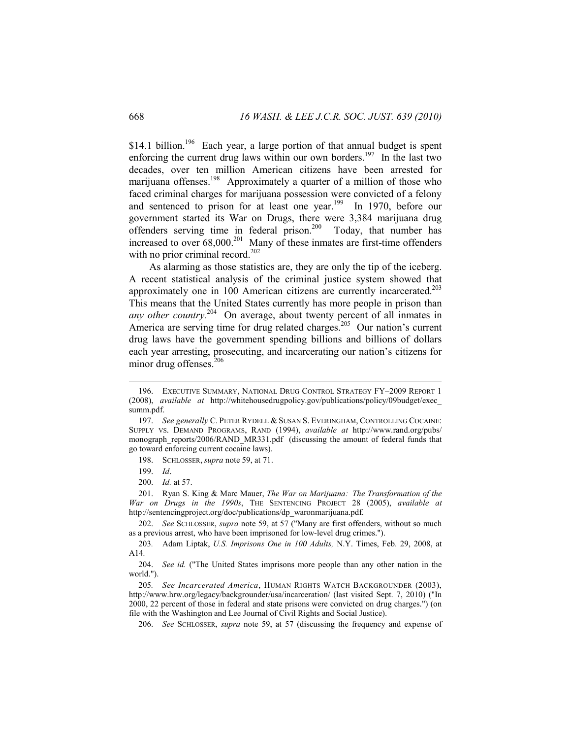\$14.1 billion.<sup>196</sup> Each year, a large portion of that annual budget is spent enforcing the current drug laws within our own borders.<sup>197</sup> In the last two decades, over ten million American citizens have been arrested for marijuana offenses.<sup>198</sup> Approximately a quarter of a million of those who faced criminal charges for marijuana possession were convicted of a felony and sentenced to prison for at least one year.<sup>199</sup> In 1970, before our government started its War on Drugs, there were 3,384 marijuana drug offenders serving time in federal prison.<sup>200</sup> Today, that number has increased to over  $68,000^{201}$  Many of these inmates are first-time offenders with no prior criminal record.<sup>202</sup>

As alarming as those statistics are, they are only the tip of the iceberg. A recent statistical analysis of the criminal justice system showed that approximately one in 100 American citizens are currently incarcerated.<sup>203</sup> This means that the United States currently has more people in prison than *any other country*.<sup>204</sup> On average, about twenty percent of all inmates in America are serving time for drug related charges.<sup>205</sup> Our nation's current drug laws have the government spending billions and billions of dollars each year arresting, prosecuting, and incarcerating our nation's citizens for minor drug offenses.<sup>206</sup>

 $\overline{a}$ 

 202. *See* SCHLOSSER, *supra* note 59, at 57 ("Many are first offenders, without so much as a previous arrest, who have been imprisoned for low-level drug crimes.").

 <sup>196.</sup> EXECUTIVE SUMMARY, NATIONAL DRUG CONTROL STRATEGY FY–2009 REPORT 1 (2008), *available at* http://whitehousedrugpolicy.gov/publications/policy/09budget/exec\_ summ.pdf.

 <sup>197.</sup> *See generally* C. PETER RYDELL & SUSAN S. EVERINGHAM, CONTROLLING COCAINE: SUPPLY VS. DEMAND PROGRAMS, RAND (1994), *available at* http://www.rand.org/pubs/ monograph\_reports/2006/RAND\_MR331.pdf (discussing the amount of federal funds that go toward enforcing current cocaine laws).

 <sup>198.</sup> SCHLOSSER, *supra* note 59, at 71.

 <sup>199.</sup> *Id*.

 <sup>200.</sup> *Id.* at 57.

 <sup>201.</sup> Ryan S. King & Marc Mauer, *The War on Marijuana: The Transformation of the War on Drugs in the 1990s*, THE SENTENCING PROJECT 28 (2005), *available at* http://sentencingproject.org/doc/publications/dp\_waronmarijuana.pdf.

<sup>203</sup>*.* Adam Liptak, *U.S. Imprisons One in 100 Adults,* N.Y. Times, Feb. 29, 2008, at A14*.*

 <sup>204.</sup> *See id.* ("The United States imprisons more people than any other nation in the world.").

<sup>205</sup>*. See Incarcerated America*, HUMAN RIGHTS WATCH BACKGROUNDER (2003), http://www.hrw.org/legacy/backgrounder/usa/incarceration/ (last visited Sept. 7, 2010) ("In 2000, 22 percent of those in federal and state prisons were convicted on drug charges.") (on file with the Washington and Lee Journal of Civil Rights and Social Justice).

 <sup>206.</sup> *See* SCHLOSSER, *supra* note 59, at 57 (discussing the frequency and expense of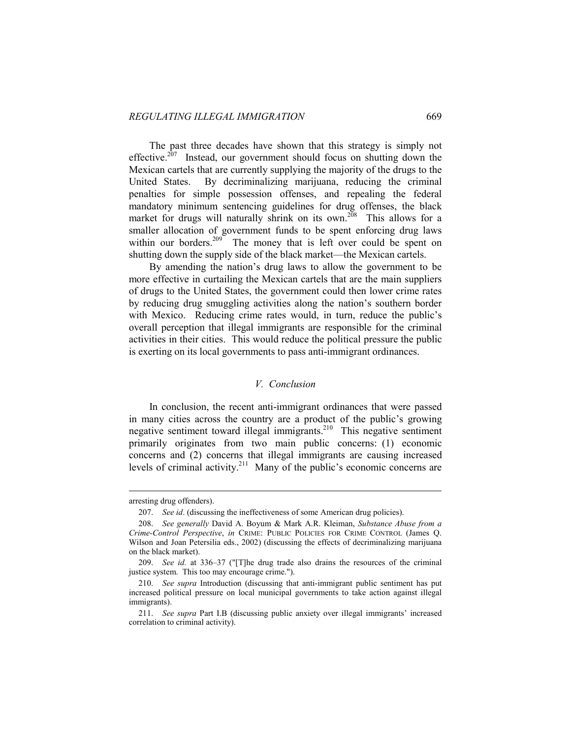The past three decades have shown that this strategy is simply not effective.<sup>207</sup> Instead, our government should focus on shutting down the Mexican cartels that are currently supplying the majority of the drugs to the United States. By decriminalizing marijuana, reducing the criminal penalties for simple possession offenses, and repealing the federal mandatory minimum sentencing guidelines for drug offenses, the black market for drugs will naturally shrink on its own.<sup>208</sup> This allows for a smaller allocation of government funds to be spent enforcing drug laws within our borders.<sup>209</sup> The money that is left over could be spent on shutting down the supply side of the black market—the Mexican cartels.

By amending the nation's drug laws to allow the government to be more effective in curtailing the Mexican cartels that are the main suppliers of drugs to the United States, the government could then lower crime rates by reducing drug smuggling activities along the nation's southern border with Mexico. Reducing crime rates would, in turn, reduce the public's overall perception that illegal immigrants are responsible for the criminal activities in their cities. This would reduce the political pressure the public is exerting on its local governments to pass anti-immigrant ordinances.

### *V. Conclusion*

In conclusion, the recent anti-immigrant ordinances that were passed in many cities across the country are a product of the public's growing negative sentiment toward illegal immigrants.210 This negative sentiment primarily originates from two main public concerns: (1) economic concerns and (2) concerns that illegal immigrants are causing increased levels of criminal activity.<sup>211</sup> Many of the public's economic concerns are

arresting drug offenders).

 <sup>207.</sup> *See id*. (discussing the ineffectiveness of some American drug policies).

 <sup>208.</sup> *See generally* David A. Boyum & Mark A.R. Kleiman, *Substance Abuse from a Crime-Control Perspective*, *in* CRIME: PUBLIC POLICIES FOR CRIME CONTROL (James Q. Wilson and Joan Petersilia eds., 2002) (discussing the effects of decriminalizing marijuana on the black market).

 <sup>209.</sup> *See id.* at 336–37 ("[T]he drug trade also drains the resources of the criminal justice system. This too may encourage crime.").

 <sup>210.</sup> *See supra* Introduction (discussing that anti-immigrant public sentiment has put increased political pressure on local municipal governments to take action against illegal immigrants).

 <sup>211.</sup> *See supra* Part I.B (discussing public anxiety over illegal immigrants' increased correlation to criminal activity).